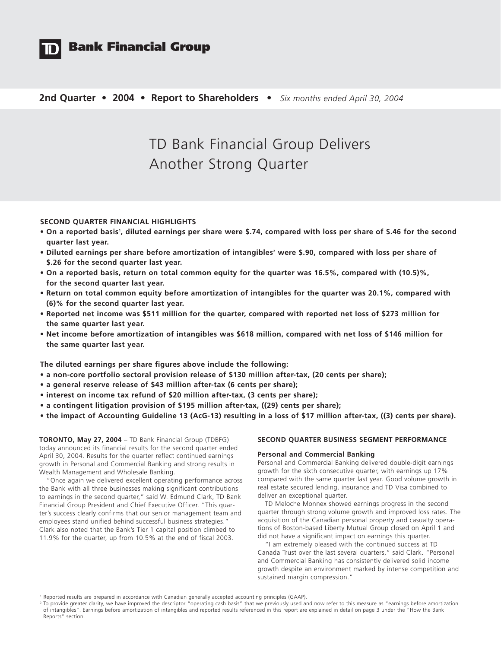

# **Bank Financial Group**

# **2nd Quarter • 2004 • Report to Shareholders •** *Six months ended April 30, 2004*

# TD Bank Financial Group Delivers Another Strong Quarter

# **SECOND QUARTER FINANCIAL HIGHLIGHTS**

- **On a reported basis1 , diluted earnings per share were \$.74, compared with loss per share of \$.46 for the second quarter last year.**
- Diluted earnings per share before amortization of intangibles<sup>2</sup> were \$.90, compared with loss per share of **\$.26 for the second quarter last year.**
- **On a reported basis, return on total common equity for the quarter was 16.5%, compared with (10.5)%, for the second quarter last year.**
- **Return on total common equity before amortization of intangibles for the quarter was 20.1%, compared with (6)% for the second quarter last year.**
- **Reported net income was \$511 million for the quarter, compared with reported net loss of \$273 million for the same quarter last year.**
- **Net income before amortization of intangibles was \$618 million, compared with net loss of \$146 million for the same quarter last year.**

**The diluted earnings per share figures above include the following:**

- **a non-core portfolio sectoral provision release of \$130 million after-tax, (20 cents per share);**
- **a general reserve release of \$43 million after-tax (6 cents per share);**
- **interest on income tax refund of \$20 million after-tax, (3 cents per share);**
- **a contingent litigation provision of \$195 million after-tax, ((29) cents per share);**
- **the impact of Accounting Guideline 13 (AcG-13) resulting in a loss of \$17 million after-tax, ((3) cents per share).**

**TORONTO, May 27, 2004** – TD Bank Financial Group (TDBFG) today announced its financial results for the second quarter ended April 30, 2004. Results for the quarter reflect continued earnings growth in Personal and Commercial Banking and strong results in Wealth Management and Wholesale Banking.

"Once again we delivered excellent operating performance across the Bank with all three businesses making significant contributions to earnings in the second quarter," said W. Edmund Clark, TD Bank Financial Group President and Chief Executive Officer. "This quarter's success clearly confirms that our senior management team and employees stand unified behind successful business strategies." Clark also noted that the Bank's Tier 1 capital position climbed to 11.9% for the quarter, up from 10.5% at the end of fiscal 2003.

## **SECOND QUARTER BUSINESS SEGMENT PERFORMANCE**

### **Personal and Commercial Banking**

Personal and Commercial Banking delivered double-digit earnings growth for the sixth consecutive quarter, with earnings up 17% compared with the same quarter last year. Good volume growth in real estate secured lending, insurance and TD Visa combined to deliver an exceptional quarter.

TD Meloche Monnex showed earnings progress in the second quarter through strong volume growth and improved loss rates. The acquisition of the Canadian personal property and casualty operations of Boston-based Liberty Mutual Group closed on April 1 and did not have a significant impact on earnings this quarter.

"I am extremely pleased with the continued success at TD Canada Trust over the last several quarters," said Clark. "Personal and Commercial Banking has consistently delivered solid income growth despite an environment marked by intense competition and sustained margin compression."

<sup>1</sup> Reported results are prepared in accordance with Canadian generally accepted accounting principles (GAAP).

<sup>&</sup>lt;sup>2</sup> To provide greater clarity, we have improved the descriptor "operating cash basis" that we previously used and now refer to this measure as "earnings before amortization of intangibles". Earnings before amortization of intangibles and reported results referenced in this report are explained in detail on page 3 under the "How the Bank Reports" section.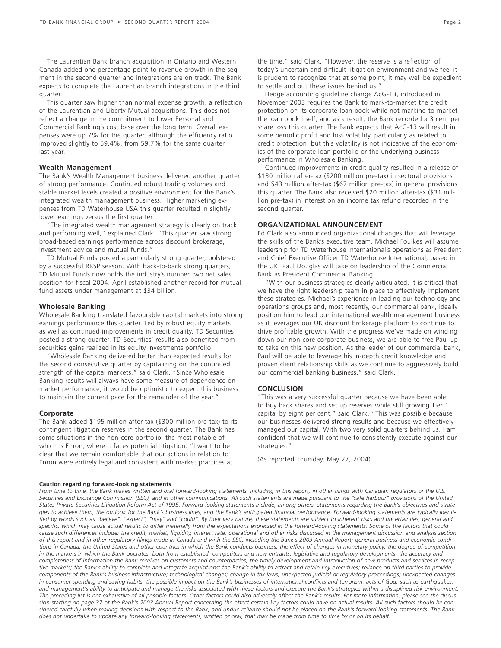The Laurentian Bank branch acquisition in Ontario and Western Canada added one percentage point to revenue growth in the segment in the second quarter and integrations are on track. The Bank expects to complete the Laurentian branch integrations in the third quarter.

This quarter saw higher than normal expense growth, a reflection of the Laurentian and Liberty Mutual acquisitions. This does not reflect a change in the commitment to lower Personal and Commercial Banking's cost base over the long term. Overall expenses were up 7% for the quarter, although the efficiency ratio improved slightly to 59.4%, from 59.7% for the same quarter last year.

#### **Wealth Management**

The Bank's Wealth Management business delivered another quarter of strong performance. Continued robust trading volumes and stable market levels created a positive environment for the Bank's integrated wealth management business. Higher marketing expenses from TD Waterhouse USA this quarter resulted in slightly lower earnings versus the first quarter.

"The integrated wealth management strategy is clearly on track and performing well," explained Clark. "This quarter saw strong broad-based earnings performance across discount brokerage, investment advice and mutual funds."

TD Mutual Funds posted a particularly strong quarter, bolstered by a successful RRSP season. With back-to-back strong quarters, TD Mutual Funds now holds the industry's number two net sales position for fiscal 2004. April established another record for mutual fund assets under management at \$34 billion.

#### **Wholesale Banking**

Wholesale Banking translated favourable capital markets into strong earnings performance this quarter. Led by robust equity markets as well as continued improvements in credit quality, TD Securities posted a strong quarter. TD Securities' results also benefited from securities gains realized in its equity investments portfolio.

"Wholesale Banking delivered better than expected results for the second consecutive quarter by capitalizing on the continued strength of the capital markets," said Clark. "Since Wholesale Banking results will always have some measure of dependence on market performance, it would be optimistic to expect this business to maintain the current pace for the remainder of the year."

#### **Corporate**

The Bank added \$195 million after-tax (\$300 million pre-tax) to its contingent litigation reserves in the second quarter. The Bank has some situations in the non-core portfolio, the most notable of which is Enron, where it faces potential litigation. "I want to be clear that we remain comfortable that our actions in relation to Enron were entirely legal and consistent with market practices at

the time," said Clark. "However, the reserve is a reflection of today's uncertain and difficult litigation environment and we feel it is prudent to recognize that at some point, it may well be expedient to settle and put these issues behind us."

Hedge accounting guideline change AcG-13, introduced in November 2003 requires the Bank to mark-to-market the credit protection on its corporate loan book while not marking-to-market the loan book itself, and as a result, the Bank recorded a 3 cent per share loss this quarter. The Bank expects that AcG-13 will result in some periodic profit and loss volatility, particularly as related to credit protection, but this volatility is not indicative of the economics of the corporate loan portfolio or the underlying business performance in Wholesale Banking.

Continued improvements in credit quality resulted in a release of \$130 million after-tax (\$200 million pre-tax) in sectoral provisions and \$43 million after-tax (\$67 million pre-tax) in general provisions this quarter. The Bank also received \$20 million after-tax (\$31 million pre-tax) in interest on an income tax refund recorded in the second quarter.

# **ORGANIZATIONAL ANNOUNCEMENT**

Ed Clark also announced organizational changes that will leverage the skills of the Bank's executive team. Michael Foulkes will assume leadership for TD Waterhouse International's operations as President and Chief Executive Officer TD Waterhouse International, based in the UK. Paul Douglas will take on leadership of the Commercial Bank as President Commercial Banking.

"With our business strategies clearly articulated, it is critical that we have the right leadership team in place to effectively implement these strategies. Michael's experience in leading our technology and operations groups and, most recently, our commercial bank, ideally position him to lead our international wealth management business as it leverages our UK discount brokerage platform to continue to drive profitable growth. With the progress we've made on winding down our non-core corporate business, we are able to free Paul up to take on this new position. As the leader of our commercial bank, Paul will be able to leverage his in-depth credit knowledge and proven client relationship skills as we continue to aggressively build our commercial banking business," said Clark.

#### **CONCLUSION**

"This was a very successful quarter because we have been able to buy back shares and set up reserves while still growing Tier 1 capital by eight per cent," said Clark. "This was possible because our businesses delivered strong results and because we effectively managed our capital. With two very solid quarters behind us, I am confident that we will continue to consistently execute against our strategies."

(As reported Thursday, May 27, 2004)

#### **Caution regarding forward-looking statements**

*From time to time, the Bank makes written and oral forward-looking statements, including in this report, in other filings with Canadian regulators or the U.S. Securities and Exchange Commission (SEC), and in other communications. All such statements are made pursuant to the "safe harbour" provisions of the United States Private Securities Litigation Reform Act of 1995. Forward-looking statements include, among others, statements regarding the Bank's objectives and strategies to achieve them, the outlook for the Bank's business lines, and the Bank's anticipated financial performance. Forward-looking statements are typically identified by words such as "believe", "expect", "may" and "could". By their very nature, these statements are subject to inherent risks and uncertainties, general and specific, which may cause actual results to differ materially from the expectations expressed in the forward-looking statements. Some of the factors that could cause such differences include: the credit, market, liquidity, interest rate, operational and other risks discussed in the management discussion and analysis section of this report and in other regulatory filings made in Canada and with the SEC, including the Bank's 2003 Annual Report; general business and economic conditions in Canada, the United States and other countries in which the Bank conducts business; the effect of changes in monetary policy; the degree of competition in the markets in which the Bank operates, both from established competitors and new entrants; legislative and regulatory developments; the accuracy and completeness of information the Bank receives on customers and counterparties; the timely development and introduction of new products and services in receptive markets; the Bank's ability to complete and integrate acquisitions; the Bank's ability to attract and retain key executives; reliance on third parties to provide components of the Bank's business infrastructure; technological changes; change in tax laws; unexpected judicial or regulatory proceedings; unexpected changes in consumer spending and saving habits; the possible impact on the Bank's businesses of international conflicts and terrorism; acts of God, such as earthquakes; and management's ability to anticipate and manage the risks associated with these factors and execute the Bank's strategies within a disciplined risk environment. The preceding list is not exhaustive of all possible factors. Other factors could also adversely affect the Bank's results. For more information, please see the discussion starting on page 32 of the Bank's 2003 Annual Report concerning the effect certain key factors could have on actual results. All such factors should be considered carefully when making decisions with respect to the Bank, and undue reliance should not be placed on the Bank's forward-looking statements. The Bank does not undertake to update any forward-looking statements, written or oral, that may be made from time to time by or on its behalf.*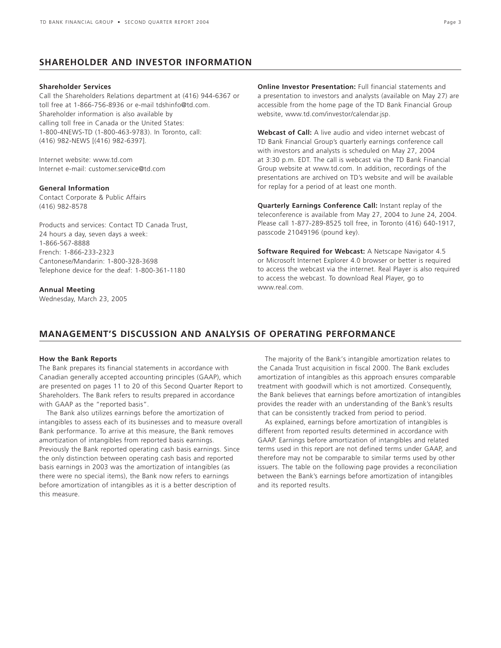# **SHAREHOLDER AND INVESTOR INFORMATION**

# **Shareholder Services**

Call the Shareholders Relations department at (416) 944-6367 or toll free at 1-866-756-8936 or e-mail tdshinfo@td.com. Shareholder information is also available by calling toll free in Canada or the United States: 1-800-4NEWS-TD (1-800-463-9783). In Toronto, call: (416) 982-NEWS [(416) 982-6397].

Internet website: www.td.com Internet e-mail: customer.service@td.com

# **General Information**

Contact Corporate & Public Affairs (416) 982-8578

Products and services: Contact TD Canada Trust, 24 hours a day, seven days a week: 1-866-567-8888 French: 1-866-233-2323 Cantonese/Mandarin: 1-800-328-3698 Telephone device for the deaf: 1-800-361-1180

#### **Annual Meeting**

Wednesday, March 23, 2005

**Online Investor Presentation:** Full financial statements and a presentation to investors and analysts (available on May 27) are accessible from the home page of the TD Bank Financial Group website, www.td.com/investor/calendar.jsp.

**Webcast of Call:** A live audio and video internet webcast of TD Bank Financial Group's quarterly earnings conference call with investors and analysts is scheduled on May 27, 2004 at 3:30 p.m. EDT. The call is webcast via the TD Bank Financial Group website at www.td.com. In addition, recordings of the presentations are archived on TD's website and will be available for replay for a period of at least one month.

**Quarterly Earnings Conference Call:** Instant replay of the teleconference is available from May 27, 2004 to June 24, 2004. Please call 1-877-289-8525 toll free, in Toronto (416) 640-1917, passcode 21049196 (pound key).

**Software Required for Webcast:** A Netscape Navigator 4.5 or Microsoft Internet Explorer 4.0 browser or better is required to access the webcast via the internet. Real Player is also required to access the webcast. To download Real Player, go to www.real.com.

# **MANAGEMENT'S DISCUSSION AND ANALYSIS OF OPERATING PERFORMANCE**

#### **How the Bank Reports**

The Bank prepares its financial statements in accordance with Canadian generally accepted accounting principles (GAAP), which are presented on pages 11 to 20 of this Second Quarter Report to Shareholders. The Bank refers to results prepared in accordance with GAAP as the "reported basis".

The Bank also utilizes earnings before the amortization of intangibles to assess each of its businesses and to measure overall Bank performance. To arrive at this measure, the Bank removes amortization of intangibles from reported basis earnings. Previously the Bank reported operating cash basis earnings. Since the only distinction between operating cash basis and reported basis earnings in 2003 was the amortization of intangibles (as there were no special items), the Bank now refers to earnings before amortization of intangibles as it is a better description of this measure.

The majority of the Bank's intangible amortization relates to the Canada Trust acquisition in fiscal 2000. The Bank excludes amortization of intangibles as this approach ensures comparable treatment with goodwill which is not amortized. Consequently, the Bank believes that earnings before amortization of intangibles provides the reader with an understanding of the Bank's results that can be consistently tracked from period to period.

As explained, earnings before amortization of intangibles is different from reported results determined in accordance with GAAP. Earnings before amortization of intangibles and related terms used in this report are not defined terms under GAAP, and therefore may not be comparable to similar terms used by other issuers. The table on the following page provides a reconciliation between the Bank's earnings before amortization of intangibles and its reported results.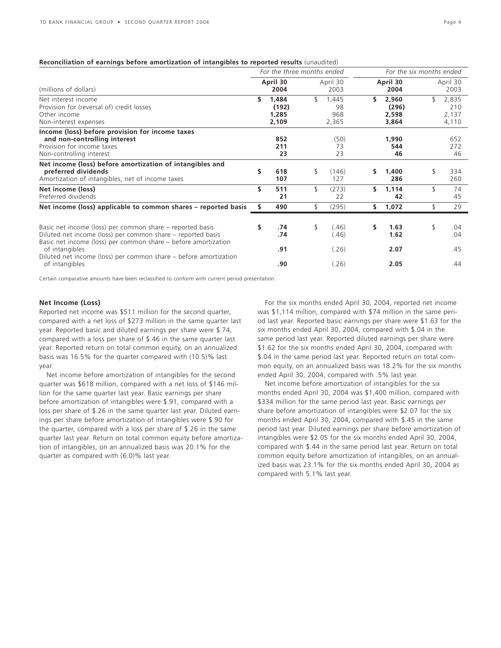#### **Reconciliation of earnings before amortization of intangibles to reported results** (unaudited)

|                                                                                                                                                                                            |    | For the three months ended       |                |                             | For the six months ended |                                  |    |                                |
|--------------------------------------------------------------------------------------------------------------------------------------------------------------------------------------------|----|----------------------------------|----------------|-----------------------------|--------------------------|----------------------------------|----|--------------------------------|
| (millions of dollars)                                                                                                                                                                      |    | April 30<br>2004                 |                | April 30<br>2003            |                          | April 30<br>2004                 |    | April 30<br>2003               |
| Net interest income<br>Provision for (reversal of) credit losses<br>Other income<br>Non-interest expenses                                                                                  | \$ | 1,484<br>(192)<br>1,285<br>2,109 | $\mathfrak{F}$ | 1,445<br>98<br>968<br>2,365 | \$                       | 2,960<br>(296)<br>2,598<br>3,864 | \$ | 2,835<br>210<br>2,137<br>4,110 |
| Income (loss) before provision for income taxes<br>and non-controlling interest<br>Provision for income taxes<br>Non-controlling interest                                                  |    | 852<br>211<br>23                 |                | (50)<br>73<br>23            |                          | 1,990<br>544<br>46               |    | 652<br>272<br>46               |
| Net income (loss) before amortization of intangibles and<br>preferred dividends<br>Amortization of intangibles, net of income taxes                                                        | \$ | 618<br>107                       | \$             | (146)<br>127                | s                        | 1,400<br>286                     | \$ | 334<br>260                     |
| Net income (loss)<br>Preferred dividends                                                                                                                                                   | \$ | 511<br>21                        | \$             | (273)<br>22                 | Ś.                       | 1,114<br>42                      | \$ | 74<br>45                       |
| Net income (loss) applicable to common shares - reported basis                                                                                                                             | s  | 490                              | \$             | (295)                       | \$.                      | 1,072                            | \$ | 29                             |
| Basic net income (loss) per common share – reported basis<br>Diluted net income (loss) per common share – reported basis<br>Basic net income (loss) per common share – before amortization | \$ | .74<br>.74                       | \$             | (.46)<br>(.46)              | \$                       | 1.63<br>1.62                     | \$ | .04<br>.04                     |
| of intangibles<br>Diluted net income (loss) per common share – before amortization                                                                                                         |    | .91                              |                | (.26)                       |                          | 2.07                             |    | .45                            |
| of intangibles                                                                                                                                                                             |    | .90                              |                | (.26)                       |                          | 2.05                             |    | .44                            |

Certain comparative amounts have been reclassified to conform with current period presentation.

#### **Net Income (Loss)**

Reported net income was \$511 million for the second quarter, compared with a net loss of \$273 million in the same quarter last year. Reported basic and diluted earnings per share were \$.74, compared with a loss per share of \$.46 in the same quarter last year. Reported return on total common equity, on an annualized basis was 16.5% for the quarter compared with (10.5)% last year.

Net income before amortization of intangibles for the second quarter was \$618 million, compared with a net loss of \$146 million for the same quarter last year. Basic earnings per share before amortization of intangibles were \$.91, compared with a loss per share of \$.26 in the same quarter last year. Diluted earnings per share before amortization of intangibles were \$.90 for the quarter, compared with a loss per share of \$.26 in the same quarter last year. Return on total common equity before amortization of intangibles, on an annualized basis was 20.1% for the quarter as compared with (6.0)% last year.

For the six months ended April 30, 2004, reported net income was \$1,114 million, compared with \$74 million in the same period last year. Reported basic earnings per share were \$1.63 for the six months ended April 30, 2004, compared with \$.04 in the same period last year. Reported diluted earnings per share were \$1.62 for the six months ended April 30, 2004, compared with \$.04 in the same period last year. Reported return on total common equity, on an annualized basis was 18.2% for the six months ended April 30, 2004, compared with .5% last year.

Net income before amortization of intangibles for the six months ended April 30, 2004 was \$1,400 million, compared with \$334 million for the same period last year. Basic earnings per share before amortization of intangibles were \$2.07 for the six months ended April 30, 2004, compared with \$.45 in the same period last year. Diluted earnings per share before amortization of intangibles were \$2.05 for the six months ended April 30, 2004, compared with \$.44 in the same period last year. Return on total common equity before amortization of intangibles, on an annualized basis was 23.1% for the six months ended April 30, 2004 as compared with 5.1% last year.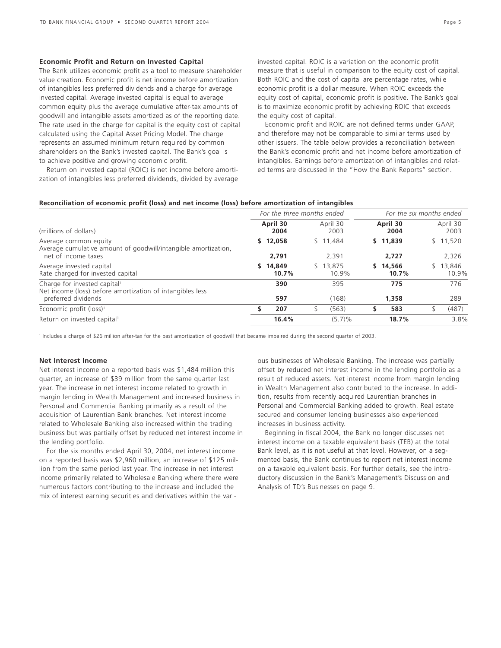#### **Economic Profit and Return on Invested Capital**

The Bank utilizes economic profit as a tool to measure shareholder value creation. Economic profit is net income before amortization of intangibles less preferred dividends and a charge for average invested capital. Average invested capital is equal to average common equity plus the average cumulative after-tax amounts of goodwill and intangible assets amortized as of the reporting date. The rate used in the charge for capital is the equity cost of capital calculated using the Capital Asset Pricing Model. The charge represents an assumed minimum return required by common shareholders on the Bank's invested capital. The Bank's goal is to achieve positive and growing economic profit.

Return on invested capital (ROIC) is net income before amortization of intangibles less preferred dividends, divided by average invested capital. ROIC is a variation on the economic profit measure that is useful in comparison to the equity cost of capital. Both ROIC and the cost of capital are percentage rates, while economic profit is a dollar measure. When ROIC exceeds the equity cost of capital, economic profit is positive. The Bank's goal is to maximize economic profit by achieving ROIC that exceeds the equity cost of capital.

Economic profit and ROIC are not defined terms under GAAP, and therefore may not be comparable to similar terms used by other issuers. The table below provides a reconciliation between the Bank's economic profit and net income before amortization of intangibles. Earnings before amortization of intangibles and related terms are discussed in the "How the Bank Reports" section.

#### **Reconciliation of economic profit (loss) and net income (loss) before amortization of intangibles**

|                                                                                                                              | For the three months ended |                       | For the six months ended |                       |  |  |
|------------------------------------------------------------------------------------------------------------------------------|----------------------------|-----------------------|--------------------------|-----------------------|--|--|
| (millions of dollars)                                                                                                        | April 30<br>2004           | April 30<br>2003      | April 30<br>2004         | April 30<br>2003      |  |  |
| Average common equity<br>Average cumulative amount of goodwill/intangible amortization,<br>net of income taxes               | \$12,058<br>2.791          | \$11.484<br>2.391     | \$11.839<br>2.727        | \$11,520<br>2,326     |  |  |
| Average invested capital<br>Rate charged for invested capital                                                                | 14,849<br>S.<br>10.7%      | 13,875<br>\$<br>10.9% | \$14.566<br>10.7%        | 13,846<br>\$<br>10.9% |  |  |
| Charge for invested capital <sup>1</sup><br>Net income (loss) before amortization of intangibles less<br>preferred dividends | 390<br>597                 | 395<br>(168)          | 775<br>1,358             | 776<br>289            |  |  |
| Economic profit (loss) <sup>1</sup>                                                                                          | 207                        | (563)<br>\$           | 583<br>S                 | (487)                 |  |  |
| Return on invested capital <sup>1</sup>                                                                                      | 16.4%                      | (5.7)%                | 18.7%                    | 3.8%                  |  |  |

<sup>1</sup> Includes a charge of \$26 million after-tax for the past amortization of goodwill that became impaired during the second quarter of 2003.

#### **Net Interest Income**

Net interest income on a reported basis was \$1,484 million this quarter, an increase of \$39 million from the same quarter last year. The increase in net interest income related to growth in margin lending in Wealth Management and increased business in Personal and Commercial Banking primarily as a result of the acquisition of Laurentian Bank branches. Net interest income related to Wholesale Banking also increased within the trading business but was partially offset by reduced net interest income in the lending portfolio.

For the six months ended April 30, 2004, net interest income on a reported basis was \$2,960 million, an increase of \$125 million from the same period last year. The increase in net interest income primarily related to Wholesale Banking where there were numerous factors contributing to the increase and included the mix of interest earning securities and derivatives within the various businesses of Wholesale Banking. The increase was partially offset by reduced net interest income in the lending portfolio as a result of reduced assets. Net interest income from margin lending in Wealth Management also contributed to the increase. In addition, results from recently acquired Laurentian branches in Personal and Commercial Banking added to growth. Real estate secured and consumer lending businesses also experienced increases in business activity.

Beginning in fiscal 2004, the Bank no longer discusses net interest income on a taxable equivalent basis (TEB) at the total Bank level, as it is not useful at that level. However, on a segmented basis, the Bank continues to report net interest income on a taxable equivalent basis. For further details, see the introductory discussion in the Bank's Management's Discussion and Analysis of TD's Businesses on page 9.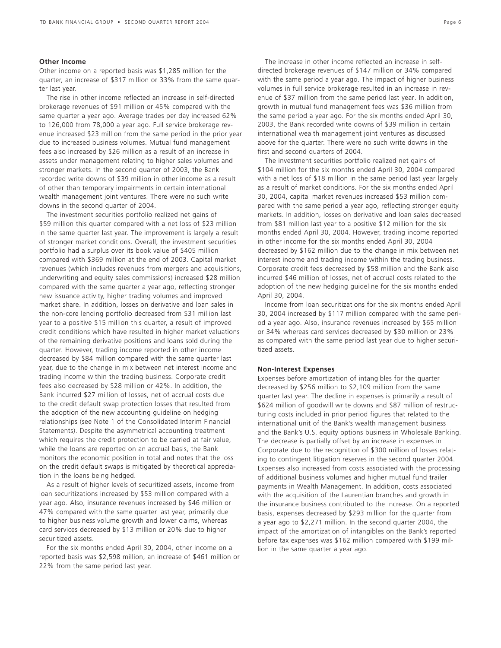# **Other Income**

Other income on a reported basis was \$1,285 million for the quarter, an increase of \$317 million or 33% from the same quarter last year.

The rise in other income reflected an increase in self-directed brokerage revenues of \$91 million or 45% compared with the same quarter a year ago. Average trades per day increased 62% to 126,000 from 78,000 a year ago. Full service brokerage revenue increased \$23 million from the same period in the prior year due to increased business volumes. Mutual fund management fees also increased by \$26 million as a result of an increase in assets under management relating to higher sales volumes and stronger markets. In the second quarter of 2003, the Bank recorded write downs of \$39 million in other income as a result of other than temporary impairments in certain international wealth management joint ventures. There were no such write downs in the second quarter of 2004.

The investment securities portfolio realized net gains of \$59 million this quarter compared with a net loss of \$23 million in the same quarter last year. The improvement is largely a result of stronger market conditions. Overall, the investment securities portfolio had a surplus over its book value of \$405 million compared with \$369 million at the end of 2003. Capital market revenues (which includes revenues from mergers and acquisitions, underwriting and equity sales commissions) increased \$28 million compared with the same quarter a year ago, reflecting stronger new issuance activity, higher trading volumes and improved market share. In addition, losses on derivative and loan sales in the non-core lending portfolio decreased from \$31 million last year to a positive \$15 million this quarter, a result of improved credit conditions which have resulted in higher market valuations of the remaining derivative positions and loans sold during the quarter. However, trading income reported in other income decreased by \$84 million compared with the same quarter last year, due to the change in mix between net interest income and trading income within the trading business. Corporate credit fees also decreased by \$28 million or 42%. In addition, the Bank incurred \$27 million of losses, net of accrual costs due to the credit default swap protection losses that resulted from the adoption of the new accounting guideline on hedging relationships (see Note 1 of the Consolidated Interim Financial Statements). Despite the asymmetrical accounting treatment which requires the credit protection to be carried at fair value, while the loans are reported on an accrual basis, the Bank monitors the economic position in total and notes that the loss on the credit default swaps is mitigated by theoretical appreciation in the loans being hedged.

As a result of higher levels of securitized assets, income from loan securitizations increased by \$53 million compared with a year ago. Also, insurance revenues increased by \$46 million or 47% compared with the same quarter last year, primarily due to higher business volume growth and lower claims, whereas card services decreased by \$13 million or 20% due to higher securitized assets.

For the six months ended April 30, 2004, other income on a reported basis was \$2,598 million, an increase of \$461 million or 22% from the same period last year.

The increase in other income reflected an increase in selfdirected brokerage revenues of \$147 million or 34% compared with the same period a year ago. The impact of higher business volumes in full service brokerage resulted in an increase in revenue of \$37 million from the same period last year. In addition, growth in mutual fund management fees was \$36 million from the same period a year ago. For the six months ended April 30, 2003, the Bank recorded write downs of \$39 million in certain international wealth management joint ventures as discussed above for the quarter. There were no such write downs in the first and second quarters of 2004.

The investment securities portfolio realized net gains of \$104 million for the six months ended April 30, 2004 compared with a net loss of \$18 million in the same period last year largely as a result of market conditions. For the six months ended April 30, 2004, capital market revenues increased \$53 million compared with the same period a year ago, reflecting stronger equity markets. In addition, losses on derivative and loan sales decreased from \$81 million last year to a positive \$12 million for the six months ended April 30, 2004. However, trading income reported in other income for the six months ended April 30, 2004 decreased by \$162 million due to the change in mix between net interest income and trading income within the trading business. Corporate credit fees decreased by \$58 million and the Bank also incurred \$46 million of losses, net of accrual costs related to the adoption of the new hedging guideline for the six months ended April 30, 2004.

Income from loan securitizations for the six months ended April 30, 2004 increased by \$117 million compared with the same period a year ago. Also, insurance revenues increased by \$65 million or 34% whereas card services decreased by \$30 million or 23% as compared with the same period last year due to higher securitized assets.

#### **Non-Interest Expenses**

Expenses before amortization of intangibles for the quarter decreased by \$256 million to \$2,109 million from the same quarter last year. The decline in expenses is primarily a result of \$624 million of goodwill write downs and \$87 million of restructuring costs included in prior period figures that related to the international unit of the Bank's wealth management business and the Bank's U.S. equity options business in Wholesale Banking. The decrease is partially offset by an increase in expenses in Corporate due to the recognition of \$300 million of losses relating to contingent litigation reserves in the second quarter 2004. Expenses also increased from costs associated with the processing of additional business volumes and higher mutual fund trailer payments in Wealth Management. In addition, costs associated with the acquisition of the Laurentian branches and growth in the insurance business contributed to the increase. On a reported basis, expenses decreased by \$293 million for the quarter from a year ago to \$2,271 million. In the second quarter 2004, the impact of the amortization of intangibles on the Bank's reported before tax expenses was \$162 million compared with \$199 million in the same quarter a year ago.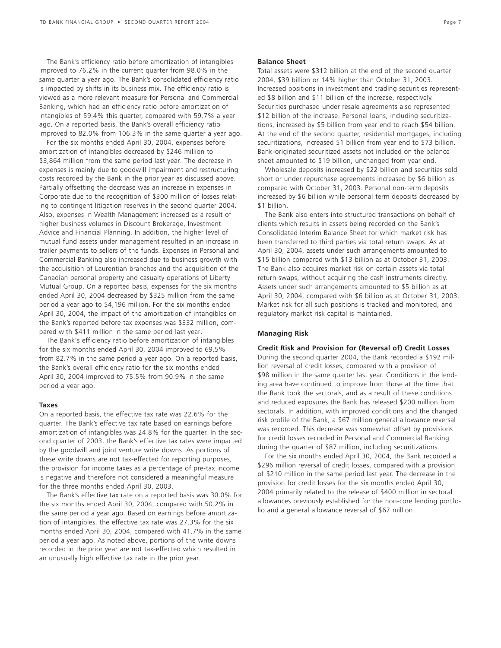The Bank's efficiency ratio before amortization of intangibles improved to 76.2% in the current quarter from 98.0% in the same quarter a year ago. The Bank's consolidated efficiency ratio is impacted by shifts in its business mix. The efficiency ratio is viewed as a more relevant measure for Personal and Commercial Banking, which had an efficiency ratio before amortization of intangibles of 59.4% this quarter, compared with 59.7% a year ago. On a reported basis, the Bank's overall efficiency ratio improved to 82.0% from 106.3% in the same quarter a year ago.

For the six months ended April 30, 2004, expenses before amortization of intangibles decreased by \$246 million to \$3,864 million from the same period last year. The decrease in expenses is mainly due to goodwill impairment and restructuring costs recorded by the Bank in the prior year as discussed above. Partially offsetting the decrease was an increase in expenses in Corporate due to the recognition of \$300 million of losses relating to contingent litigation reserves in the second quarter 2004. Also, expenses in Wealth Management increased as a result of higher business volumes in Discount Brokerage, Investment Advice and Financial Planning. In addition, the higher level of mutual fund assets under management resulted in an increase in trailer payments to sellers of the funds. Expenses in Personal and Commercial Banking also increased due to business growth with the acquisition of Laurentian branches and the acquisition of the Canadian personal property and casualty operations of Liberty Mutual Group. On a reported basis, expenses for the six months ended April 30, 2004 decreased by \$325 million from the same period a year ago to \$4,196 million. For the six months ended April 30, 2004, the impact of the amortization of intangibles on the Bank's reported before tax expenses was \$332 million, compared with \$411 million in the same period last year.

The Bank's efficiency ratio before amortization of intangibles for the six months ended April 30, 2004 improved to 69.5% from 82.7% in the same period a year ago. On a reported basis, the Bank's overall efficiency ratio for the six months ended April 30, 2004 improved to 75.5% from 90.9% in the same period a year ago.

#### **Taxes**

On a reported basis, the effective tax rate was 22.6% for the quarter. The Bank's effective tax rate based on earnings before amortization of intangibles was 24.8% for the quarter. In the second quarter of 2003, the Bank's effective tax rates were impacted by the goodwill and joint venture write downs. As portions of these write downs are not tax-effected for reporting purposes, the provision for income taxes as a percentage of pre-tax income is negative and therefore not considered a meaningful measure for the three months ended April 30, 2003.

The Bank's effective tax rate on a reported basis was 30.0% for the six months ended April 30, 2004, compared with 50.2% in the same period a year ago. Based on earnings before amortization of intangibles, the effective tax rate was 27.3% for the six months ended April 30, 2004, compared with 41.7% in the same period a year ago. As noted above, portions of the write downs recorded in the prior year are not tax-effected which resulted in an unusually high effective tax rate in the prior year.

#### **Balance Sheet**

Total assets were \$312 billion at the end of the second quarter 2004, \$39 billion or 14% higher than October 31, 2003. Increased positions in investment and trading securities represented \$8 billion and \$11 billion of the increase, respectively. Securities purchased under resale agreements also represented \$12 billion of the increase. Personal loans, including securitizations, increased by \$5 billion from year end to reach \$54 billion. At the end of the second quarter, residential mortgages, including securitizations, increased \$1 billion from year end to \$73 billion. Bank-originated securitized assets not included on the balance sheet amounted to \$19 billion, unchanged from year end.

Wholesale deposits increased by \$22 billion and securities sold short or under repurchase agreements increased by \$6 billion as compared with October 31, 2003. Personal non-term deposits increased by \$6 billion while personal term deposits decreased by \$1 billion.

The Bank also enters into structured transactions on behalf of clients which results in assets being recorded on the Bank's Consolidated Interim Balance Sheet for which market risk has been transferred to third parties via total return swaps. As at April 30, 2004, assets under such arrangements amounted to \$15 billion compared with \$13 billion as at October 31, 2003. The Bank also acquires market risk on certain assets via total return swaps, without acquiring the cash instruments directly. Assets under such arrangements amounted to \$5 billion as at April 30, 2004, compared with \$6 billion as at October 31, 2003. Market risk for all such positions is tracked and monitored, and regulatory market risk capital is maintained.

#### **Managing Risk**

#### **Credit Risk and Provision for (Reversal of) Credit Losses**

During the second quarter 2004, the Bank recorded a \$192 million reversal of credit losses, compared with a provision of \$98 million in the same quarter last year. Conditions in the lending area have continued to improve from those at the time that the Bank took the sectorals, and as a result of these conditions and reduced exposures the Bank has released \$200 million from sectorals. In addition, with improved conditions and the changed risk profile of the Bank, a \$67 million general allowance reversal was recorded. This decrease was somewhat offset by provisions for credit losses recorded in Personal and Commercial Banking during the quarter of \$87 million, including securitizations.

For the six months ended April 30, 2004, the Bank recorded a \$296 million reversal of credit losses, compared with a provision of \$210 million in the same period last year. The decrease in the provision for credit losses for the six months ended April 30, 2004 primarily related to the release of \$400 million in sectoral allowances previously established for the non-core lending portfolio and a general allowance reversal of \$67 million.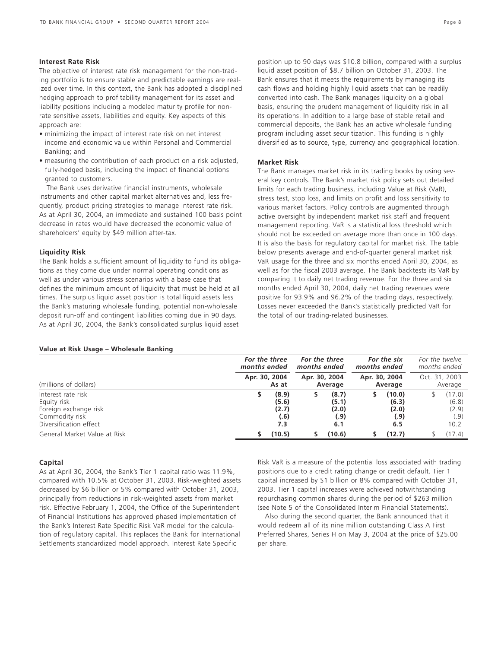### **Interest Rate Risk**

The objective of interest rate risk management for the non-trading portfolio is to ensure stable and predictable earnings are realized over time. In this context, the Bank has adopted a disciplined hedging approach to profitability management for its asset and liability positions including a modeled maturity profile for nonrate sensitive assets, liabilities and equity. Key aspects of this approach are:

- minimizing the impact of interest rate risk on net interest income and economic value within Personal and Commercial Banking; and
- measuring the contribution of each product on a risk adjusted, fully-hedged basis, including the impact of financial options granted to customers.

The Bank uses derivative financial instruments, wholesale instruments and other capital market alternatives and, less frequently, product pricing strategies to manage interest rate risk. As at April 30, 2004, an immediate and sustained 100 basis point decrease in rates would have decreased the economic value of shareholders' equity by \$49 million after-tax.

#### **Liquidity Risk**

The Bank holds a sufficient amount of liquidity to fund its obligations as they come due under normal operating conditions as well as under various stress scenarios with a base case that defines the minimum amount of liquidity that must be held at all times. The surplus liquid asset position is total liquid assets less the Bank's maturing wholesale funding, potential non-wholesale deposit run-off and contingent liabilities coming due in 90 days. As at April 30, 2004, the Bank's consolidated surplus liquid asset

# position up to 90 days was \$10.8 billion, compared with a surplus liquid asset position of \$8.7 billion on October 31, 2003. The Bank ensures that it meets the requirements by managing its cash flows and holding highly liquid assets that can be readily converted into cash. The Bank manages liquidity on a global basis, ensuring the prudent management of liquidity risk in all its operations. In addition to a large base of stable retail and commercial deposits, the Bank has an active wholesale funding program including asset securitization. This funding is highly diversified as to source, type, currency and geographical location.

# **Market Risk**

The Bank manages market risk in its trading books by using several key controls. The Bank's market risk policy sets out detailed limits for each trading business, including Value at Risk (VaR), stress test, stop loss, and limits on profit and loss sensitivity to various market factors. Policy controls are augmented through active oversight by independent market risk staff and frequent management reporting. VaR is a statistical loss threshold which should not be exceeded on average more than once in 100 days. It is also the basis for regulatory capital for market risk. The table below presents average and end-of-quarter general market risk VaR usage for the three and six months ended April 30, 2004, as well as for the fiscal 2003 average. The Bank backtests its VaR by comparing it to daily net trading revenue. For the three and six months ended April 30, 2004, daily net trading revenues were positive for 93.9% and 96.2% of the trading days, respectively. Losses never exceeded the Bank's statistically predicted VaR for the total of our trading-related businesses.

#### **Value at Risk Usage – Wholesale Banking**

|                              |               | For the three<br>months ended |               |         | months ended | For the six              | For the twelve<br>months ended |                          |  |
|------------------------------|---------------|-------------------------------|---------------|---------|--------------|--------------------------|--------------------------------|--------------------------|--|
| (millions of dollars)        | Apr. 30, 2004 | As at                         | Apr. 30, 2004 | Average |              | Apr. 30, 2004<br>Average |                                | Oct. 31, 2003<br>Average |  |
| Interest rate risk           |               | (8.9)                         |               | (8.7)   |              | (10.0)                   |                                | (17.0)                   |  |
| Equity risk                  |               | (5.6)                         |               | (5.1)   |              | (6.3)                    |                                | (6.8)                    |  |
| Foreign exchange risk        |               | (2.7)                         |               | (2.0)   |              | (2.0)                    |                                | (2.9)                    |  |
| Commodity risk               |               | (.6)                          |               | (.9)    |              | (.9)                     |                                | (.9)                     |  |
| Diversification effect       |               | 7.3                           |               | 6.1     |              | 6.5                      |                                | 10.2                     |  |
| General Market Value at Risk |               | (10.5)                        |               | (10.6)  |              | (12.7)                   |                                | (17.4)                   |  |

#### **Capital**

As at April 30, 2004, the Bank's Tier 1 capital ratio was 11.9%, compared with 10.5% at October 31, 2003. Risk-weighted assets decreased by \$6 billion or 5% compared with October 31, 2003, principally from reductions in risk-weighted assets from market risk. Effective February 1, 2004, the Office of the Superintendent of Financial Institutions has approved phased implementation of the Bank's Interest Rate Specific Risk VaR model for the calculation of regulatory capital. This replaces the Bank for International Settlements standardized model approach. Interest Rate Specific

Risk VaR is a measure of the potential loss associated with trading positions due to a credit rating change or credit default. Tier 1 capital increased by \$1 billion or 8% compared with October 31, 2003. Tier 1 capital increases were achieved notwithstanding repurchasing common shares during the period of \$263 million (see Note 5 of the Consolidated Interim Financial Statements).

Also during the second quarter, the Bank announced that it would redeem all of its nine million outstanding Class A First Preferred Shares, Series H on May 3, 2004 at the price of \$25.00 per share.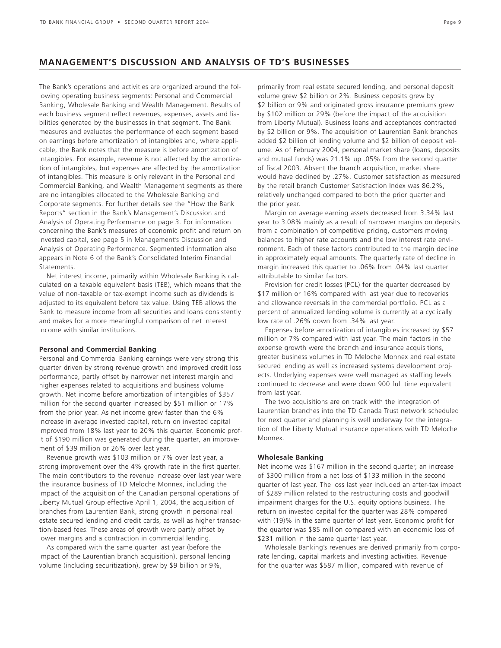# **MANAGEMENT'S DISCUSSION AND ANALYSIS OF TD'S BUSINESSES**

The Bank's operations and activities are organized around the following operating business segments: Personal and Commercial Banking, Wholesale Banking and Wealth Management. Results of each business segment reflect revenues, expenses, assets and liabilities generated by the businesses in that segment. The Bank measures and evaluates the performance of each segment based on earnings before amortization of intangibles and, where applicable, the Bank notes that the measure is before amortization of intangibles. For example, revenue is not affected by the amortization of intangibles, but expenses are affected by the amortization of intangibles. This measure is only relevant in the Personal and Commercial Banking, and Wealth Management segments as there are no intangibles allocated to the Wholesale Banking and Corporate segments. For further details see the "How the Bank Reports" section in the Bank's Management's Discussion and Analysis of Operating Performance on page 3. For information concerning the Bank's measures of economic profit and return on invested capital, see page 5 in Management's Discussion and Analysis of Operating Performance. Segmented information also appears in Note 6 of the Bank's Consolidated Interim Financial Statements.

Net interest income, primarily within Wholesale Banking is calculated on a taxable equivalent basis (TEB), which means that the value of non-taxable or tax-exempt income such as dividends is adjusted to its equivalent before tax value. Using TEB allows the Bank to measure income from all securities and loans consistently and makes for a more meaningful comparison of net interest income with similar institutions.

#### **Personal and Commercial Banking**

Personal and Commercial Banking earnings were very strong this quarter driven by strong revenue growth and improved credit loss performance, partly offset by narrower net interest margin and higher expenses related to acquisitions and business volume growth. Net income before amortization of intangibles of \$357 million for the second quarter increased by \$51 million or 17% from the prior year. As net income grew faster than the 6% increase in average invested capital, return on invested capital improved from 18% last year to 20% this quarter. Economic profit of \$190 million was generated during the quarter, an improvement of \$39 million or 26% over last year.

Revenue growth was \$103 million or 7% over last year, a strong improvement over the 4% growth rate in the first quarter. The main contributors to the revenue increase over last year were the insurance business of TD Meloche Monnex, including the impact of the acquisition of the Canadian personal operations of Liberty Mutual Group effective April 1, 2004, the acquisition of branches from Laurentian Bank, strong growth in personal real estate secured lending and credit cards, as well as higher transaction-based fees. These areas of growth were partly offset by lower margins and a contraction in commercial lending.

As compared with the same quarter last year (before the impact of the Laurentian branch acquisition), personal lending volume (including securitization), grew by \$9 billion or 9%,

primarily from real estate secured lending, and personal deposit volume grew \$2 billion or 2%. Business deposits grew by \$2 billion or 9% and originated gross insurance premiums grew by \$102 million or 29% (before the impact of the acquisition from Liberty Mutual). Business loans and acceptances contracted by \$2 billion or 9%. The acquisition of Laurentian Bank branches added \$2 billion of lending volume and \$2 billion of deposit volume. As of February 2004, personal market share (loans, deposits and mutual funds) was 21.1% up .05% from the second quarter of fiscal 2003. Absent the branch acquisition, market share would have declined by .27%. Customer satisfaction as measured by the retail branch Customer Satisfaction Index was 86.2%, relatively unchanged compared to both the prior quarter and the prior year.

Margin on average earning assets decreased from 3.34% last year to 3.08% mainly as a result of narrower margins on deposits from a combination of competitive pricing, customers moving balances to higher rate accounts and the low interest rate environment. Each of these factors contributed to the margin decline in approximately equal amounts. The quarterly rate of decline in margin increased this quarter to .06% from .04% last quarter attributable to similar factors.

Provision for credit losses (PCL) for the quarter decreased by \$17 million or 16% compared with last year due to recoveries and allowance reversals in the commercial portfolio. PCL as a percent of annualized lending volume is currently at a cyclically low rate of .26% down from .34% last year.

Expenses before amortization of intangibles increased by \$57 million or 7% compared with last year. The main factors in the expense growth were the branch and insurance acquisitions, greater business volumes in TD Meloche Monnex and real estate secured lending as well as increased systems development projects. Underlying expenses were well managed as staffing levels continued to decrease and were down 900 full time equivalent from last year.

The two acquisitions are on track with the integration of Laurentian branches into the TD Canada Trust network scheduled for next quarter and planning is well underway for the integration of the Liberty Mutual insurance operations with TD Meloche Monnex.

#### **Wholesale Banking**

Net income was \$167 million in the second quarter, an increase of \$300 million from a net loss of \$133 million in the second quarter of last year. The loss last year included an after-tax impact of \$289 million related to the restructuring costs and goodwill impairment charges for the U.S. equity options business. The return on invested capital for the quarter was 28% compared with (19)% in the same quarter of last year. Economic profit for the quarter was \$85 million compared with an economic loss of \$231 million in the same quarter last year.

Wholesale Banking's revenues are derived primarily from corporate lending, capital markets and investing activities. Revenue for the quarter was \$587 million, compared with revenue of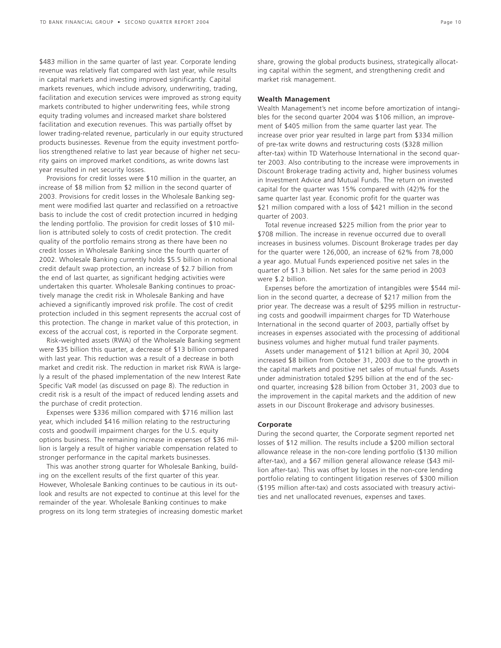\$483 million in the same quarter of last year. Corporate lending revenue was relatively flat compared with last year, while results in capital markets and investing improved significantly. Capital markets revenues, which include advisory, underwriting, trading, facilitation and execution services were improved as strong equity markets contributed to higher underwriting fees, while strong equity trading volumes and increased market share bolstered facilitation and execution revenues. This was partially offset by lower trading-related revenue, particularly in our equity structured products businesses. Revenue from the equity investment portfolios strengthened relative to last year because of higher net security gains on improved market conditions, as write downs last year resulted in net security losses.

Provisions for credit losses were \$10 million in the quarter, an increase of \$8 million from \$2 million in the second quarter of 2003. Provisions for credit losses in the Wholesale Banking segment were modified last quarter and reclassified on a retroactive basis to include the cost of credit protection incurred in hedging the lending portfolio. The provision for credit losses of \$10 million is attributed solely to costs of credit protection. The credit quality of the portfolio remains strong as there have been no credit losses in Wholesale Banking since the fourth quarter of 2002. Wholesale Banking currently holds \$5.5 billion in notional credit default swap protection, an increase of \$2.7 billion from the end of last quarter, as significant hedging activities were undertaken this quarter. Wholesale Banking continues to proactively manage the credit risk in Wholesale Banking and have achieved a significantly improved risk profile. The cost of credit protection included in this segment represents the accrual cost of this protection. The change in market value of this protection, in excess of the accrual cost, is reported in the Corporate segment.

Risk-weighted assets (RWA) of the Wholesale Banking segment were \$35 billion this quarter, a decrease of \$13 billion compared with last year. This reduction was a result of a decrease in both market and credit risk. The reduction in market risk RWA is largely a result of the phased implementation of the new Interest Rate Specific VaR model (as discussed on page 8). The reduction in credit risk is a result of the impact of reduced lending assets and the purchase of credit protection.

Expenses were \$336 million compared with \$716 million last year, which included \$416 million relating to the restructuring costs and goodwill impairment charges for the U.S. equity options business. The remaining increase in expenses of \$36 million is largely a result of higher variable compensation related to stronger performance in the capital markets businesses.

This was another strong quarter for Wholesale Banking, building on the excellent results of the first quarter of this year. However, Wholesale Banking continues to be cautious in its outlook and results are not expected to continue at this level for the remainder of the year. Wholesale Banking continues to make progress on its long term strategies of increasing domestic market share, growing the global products business, strategically allocating capital within the segment, and strengthening credit and market risk management.

#### **Wealth Management**

Wealth Management's net income before amortization of intangibles for the second quarter 2004 was \$106 million, an improvement of \$405 million from the same quarter last year. The increase over prior year resulted in large part from \$334 million of pre-tax write downs and restructuring costs (\$328 million after-tax) within TD Waterhouse International in the second quarter 2003. Also contributing to the increase were improvements in Discount Brokerage trading activity and, higher business volumes in Investment Advice and Mutual Funds. The return on invested capital for the quarter was 15% compared with (42)% for the same quarter last year. Economic profit for the quarter was \$21 million compared with a loss of \$421 million in the second quarter of 2003.

Total revenue increased \$225 million from the prior year to \$708 million. The increase in revenue occurred due to overall increases in business volumes. Discount Brokerage trades per day for the quarter were 126,000, an increase of 62% from 78,000 a year ago. Mutual Funds experienced positive net sales in the quarter of \$1.3 billion. Net sales for the same period in 2003 were \$.2 billion.

Expenses before the amortization of intangibles were \$544 million in the second quarter, a decrease of \$217 million from the prior year. The decrease was a result of \$295 million in restructuring costs and goodwill impairment charges for TD Waterhouse International in the second quarter of 2003, partially offset by increases in expenses associated with the processing of additional business volumes and higher mutual fund trailer payments.

Assets under management of \$121 billion at April 30, 2004 increased \$8 billion from October 31, 2003 due to the growth in the capital markets and positive net sales of mutual funds. Assets under administration totaled \$295 billion at the end of the second quarter, increasing \$28 billion from October 31, 2003 due to the improvement in the capital markets and the addition of new assets in our Discount Brokerage and advisory businesses.

#### **Corporate**

During the second quarter, the Corporate segment reported net losses of \$12 million. The results include a \$200 million sectoral allowance release in the non-core lending portfolio (\$130 million after-tax), and a \$67 million general allowance release (\$43 million after-tax). This was offset by losses in the non-core lending portfolio relating to contingent litigation reserves of \$300 million (\$195 million after-tax) and costs associated with treasury activities and net unallocated revenues, expenses and taxes.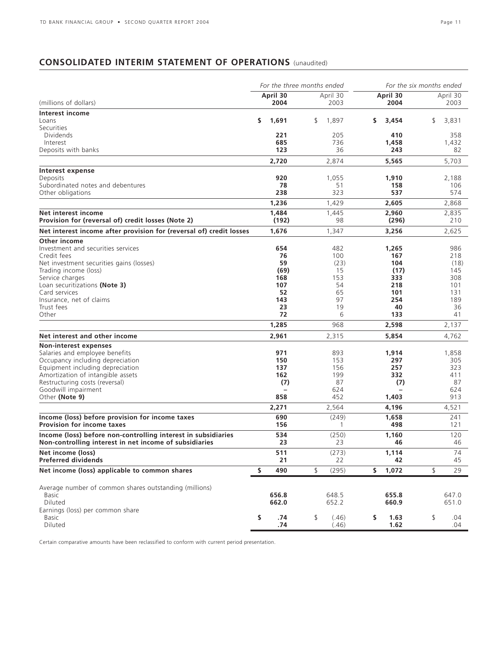# **CONSOLIDATED INTERIM STATEMENT OF OPERATIONS** (unaudited)

|                                                                     |                  | For the three months ended |                   | For the six months ended |  |  |  |
|---------------------------------------------------------------------|------------------|----------------------------|-------------------|--------------------------|--|--|--|
| (millions of dollars)                                               | April 30<br>2004 | April 30<br>2003           | April 30<br>2004  | April 30<br>2003         |  |  |  |
|                                                                     |                  |                            |                   |                          |  |  |  |
| <b>Interest income</b><br>Loans                                     | s.<br>1,691      | \$<br>1,897                | \$.<br>3,454      | \$<br>3,831              |  |  |  |
| Securities                                                          |                  |                            |                   |                          |  |  |  |
| <b>Dividends</b>                                                    | 221              | 205                        | 410               | 358                      |  |  |  |
| Interest                                                            | 685              | 736                        | 1,458             | 1,432                    |  |  |  |
| Deposits with banks                                                 | 123              |                            | 36<br>243         | 82                       |  |  |  |
|                                                                     | 2,720            | 2,874                      | 5,565             | 5,703                    |  |  |  |
| Interest expense                                                    |                  |                            |                   |                          |  |  |  |
| Deposits                                                            | 920              | 1,055                      | 1,910             | 2,188                    |  |  |  |
| Subordinated notes and debentures                                   | 78               |                            | 51<br>158         | 106                      |  |  |  |
| Other obligations                                                   | 238              | 323                        | 537               | 574                      |  |  |  |
|                                                                     | 1,236            | 1,429                      | 2,605             | 2,868                    |  |  |  |
| Net interest income                                                 | 1,484            | 1,445                      | 2,960             | 2,835                    |  |  |  |
| Provision for (reversal of) credit losses (Note 2)                  | (192)            |                            | (296)<br>98       | 210                      |  |  |  |
| Net interest income after provision for (reversal of) credit losses | 1,676            | 1,347                      | 3,256             | 2,625                    |  |  |  |
| Other income                                                        |                  |                            |                   |                          |  |  |  |
| Investment and securities services                                  | 654              | 482                        | 1,265             | 986                      |  |  |  |
| Credit fees                                                         | 76               | 100                        | 167               | 218                      |  |  |  |
| Net investment securities gains (losses)                            | 59               |                            | 104<br>(23)       | (18)                     |  |  |  |
| Trading income (loss)                                               | (69)             |                            | 15<br>(17)        | 145                      |  |  |  |
| Service charges                                                     | 168              | 153                        | 333               | 308                      |  |  |  |
| Loan securitizations (Note 3)                                       | 107              |                            | 54<br>218         | 101                      |  |  |  |
| Card services                                                       | 52               |                            | 65<br>101         | 131                      |  |  |  |
| Insurance, net of claims                                            | 143              |                            | 97<br>254         | 189                      |  |  |  |
| Trust fees                                                          | 23               |                            | 19<br>40          | 36                       |  |  |  |
| Other                                                               | 72               |                            | 6<br>133          | 41                       |  |  |  |
|                                                                     | 1,285            | 968                        | 2,598             | 2,137                    |  |  |  |
| Net interest and other income                                       | 2,961            | 2,315                      | 5,854             | 4,762                    |  |  |  |
| <b>Non-interest expenses</b>                                        |                  |                            |                   |                          |  |  |  |
| Salaries and employee benefits                                      | 971              | 893                        | 1,914             | 1,858                    |  |  |  |
| Occupancy including depreciation                                    | 150              | 153                        | 297               | 305                      |  |  |  |
| Equipment including depreciation                                    | 137              | 156                        | 257               | 323                      |  |  |  |
| Amortization of intangible assets                                   | 162              | 199                        | 332               | 411                      |  |  |  |
| Restructuring costs (reversal)                                      | (7)              |                            | 87<br>(7)         | 87                       |  |  |  |
| Goodwill impairment                                                 |                  | 624                        |                   | 624                      |  |  |  |
| Other (Note 9)                                                      | 858              | 452                        | 1,403             | 913                      |  |  |  |
|                                                                     | 2,271            | 2,564                      | 4,196             | 4,521                    |  |  |  |
| Income (loss) before provision for income taxes                     | 690              | (249)                      | 1,658             | 241                      |  |  |  |
| <b>Provision for income taxes</b>                                   | 156              |                            | 1<br>498          | 121                      |  |  |  |
| Income (loss) before non-controlling interest in subsidiaries       | 534              | (250)                      | 1,160             | 120                      |  |  |  |
| Non-controlling interest in net income of subsidiaries              | 23               |                            | 23<br>46          | 46                       |  |  |  |
| Net income (loss)<br><b>Preferred dividends</b>                     | 511<br>21        | (273)                      | 1,114<br>22<br>42 | 74<br>45                 |  |  |  |
|                                                                     |                  |                            |                   |                          |  |  |  |
| Net income (loss) applicable to common shares                       | \$<br>490        | \$<br>(295)                | \$<br>1,072       | \$<br>29                 |  |  |  |
| Average number of common shares outstanding (millions)              |                  |                            |                   |                          |  |  |  |
| <b>Basic</b>                                                        | 656.8            | 648.5                      | 655.8             | 647.0                    |  |  |  |
| Diluted                                                             | 662.0            | 652.2                      | 660.9             | 651.0                    |  |  |  |
| Earnings (loss) per common share                                    |                  |                            |                   |                          |  |  |  |
| <b>Basic</b>                                                        | \$<br>.74        | \$<br>(.46)                | \$<br>1.63        | \$<br>.04                |  |  |  |
| Diluted                                                             | .74              | (.46)                      | 1.62              | .04                      |  |  |  |

Certain comparative amounts have been reclassified to conform with current period presentation.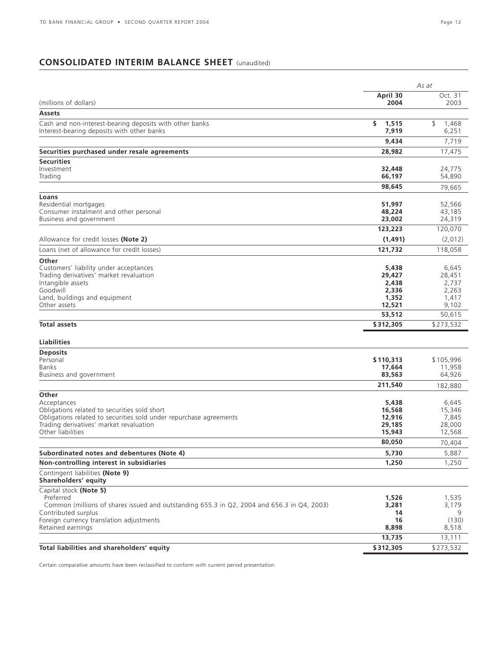# **CONSOLIDATED INTERIM BALANCE SHEET** (unaudited)

| April 30<br>Oct. 31<br>(millions of dollars)<br>2004<br>2003<br>Assets<br>\$<br>Cash and non-interest-bearing deposits with other banks<br>1,515<br>\$<br>1,468<br>7,919<br>6,251<br>7,719<br>9,434<br>17,475<br>28,982<br><b>Securities</b><br>32,448<br>24,775<br>Trading<br>66,197<br>54,890<br>98,645<br>79,665<br>Loans<br>Residential mortgages<br>51,997<br>52,566<br>48,224<br>43,185<br>Business and government<br>23,002<br>24,319<br>120,070<br>123,223<br>Allowance for credit losses (Note 2)<br>(1, 491)<br>(2,012)<br>Loans (net of allowance for credit losses)<br>121,732<br>118,058<br>Other<br>Customers' liability under acceptances<br>5,438<br>6,645<br>Trading derivatives' market revaluation<br>28,451<br>29,427<br>2,438<br>2,737<br>2,336<br>2,263<br>Land, buildings and equipment<br>1,352<br>1,417<br>Other assets<br>12,521<br>9,102<br>53,512<br>50,615<br><b>Total assets</b><br>\$273,532<br>\$312,305<br><b>Liabilities</b><br>Personal<br>\$110,313<br>\$105,996<br>Banks<br>17,664<br>11,958<br>83,563<br>64,926<br>Business and government<br>211,540<br>182,880<br>5,438<br>Acceptances<br>6,645<br>Obligations related to securities sold short<br>15,346<br>16,568<br>Obligations related to securities sold under repurchase agreements<br>12,916<br>7,845<br>Trading derivatives' market revaluation<br>29,185<br>28,000<br>Other liabilities<br>15,943<br>12,568<br>80,050<br>70.404<br>5,887<br>5,730<br>1,250<br>1,250<br>Shareholders' equity<br>Capital stock (Note 5)<br>Preferred<br>1,526<br>1,535<br>Common (millions of shares issued and outstanding 655.3 in Q2, 2004 and 656.3 in Q4, 2003)<br>3,281<br>3,179<br>Contributed surplus<br>14<br>Foreign currency translation adjustments<br>16<br>(130)<br>8,898<br>8,518<br>13,111<br>13,735<br>\$312,305<br>\$273,532 |                                              | As at |  |  |
|-------------------------------------------------------------------------------------------------------------------------------------------------------------------------------------------------------------------------------------------------------------------------------------------------------------------------------------------------------------------------------------------------------------------------------------------------------------------------------------------------------------------------------------------------------------------------------------------------------------------------------------------------------------------------------------------------------------------------------------------------------------------------------------------------------------------------------------------------------------------------------------------------------------------------------------------------------------------------------------------------------------------------------------------------------------------------------------------------------------------------------------------------------------------------------------------------------------------------------------------------------------------------------------------------------------------------------------------------------------------------------------------------------------------------------------------------------------------------------------------------------------------------------------------------------------------------------------------------------------------------------------------------------------------------------------------------------------------------------------------------------------------------------------------------------------------------------|----------------------------------------------|-------|--|--|
|                                                                                                                                                                                                                                                                                                                                                                                                                                                                                                                                                                                                                                                                                                                                                                                                                                                                                                                                                                                                                                                                                                                                                                                                                                                                                                                                                                                                                                                                                                                                                                                                                                                                                                                                                                                                                               |                                              |       |  |  |
|                                                                                                                                                                                                                                                                                                                                                                                                                                                                                                                                                                                                                                                                                                                                                                                                                                                                                                                                                                                                                                                                                                                                                                                                                                                                                                                                                                                                                                                                                                                                                                                                                                                                                                                                                                                                                               |                                              |       |  |  |
|                                                                                                                                                                                                                                                                                                                                                                                                                                                                                                                                                                                                                                                                                                                                                                                                                                                                                                                                                                                                                                                                                                                                                                                                                                                                                                                                                                                                                                                                                                                                                                                                                                                                                                                                                                                                                               |                                              |       |  |  |
|                                                                                                                                                                                                                                                                                                                                                                                                                                                                                                                                                                                                                                                                                                                                                                                                                                                                                                                                                                                                                                                                                                                                                                                                                                                                                                                                                                                                                                                                                                                                                                                                                                                                                                                                                                                                                               | Interest-bearing deposits with other banks   |       |  |  |
|                                                                                                                                                                                                                                                                                                                                                                                                                                                                                                                                                                                                                                                                                                                                                                                                                                                                                                                                                                                                                                                                                                                                                                                                                                                                                                                                                                                                                                                                                                                                                                                                                                                                                                                                                                                                                               |                                              |       |  |  |
|                                                                                                                                                                                                                                                                                                                                                                                                                                                                                                                                                                                                                                                                                                                                                                                                                                                                                                                                                                                                                                                                                                                                                                                                                                                                                                                                                                                                                                                                                                                                                                                                                                                                                                                                                                                                                               | Securities purchased under resale agreements |       |  |  |
|                                                                                                                                                                                                                                                                                                                                                                                                                                                                                                                                                                                                                                                                                                                                                                                                                                                                                                                                                                                                                                                                                                                                                                                                                                                                                                                                                                                                                                                                                                                                                                                                                                                                                                                                                                                                                               |                                              |       |  |  |
|                                                                                                                                                                                                                                                                                                                                                                                                                                                                                                                                                                                                                                                                                                                                                                                                                                                                                                                                                                                                                                                                                                                                                                                                                                                                                                                                                                                                                                                                                                                                                                                                                                                                                                                                                                                                                               | Investment                                   |       |  |  |
|                                                                                                                                                                                                                                                                                                                                                                                                                                                                                                                                                                                                                                                                                                                                                                                                                                                                                                                                                                                                                                                                                                                                                                                                                                                                                                                                                                                                                                                                                                                                                                                                                                                                                                                                                                                                                               |                                              |       |  |  |
|                                                                                                                                                                                                                                                                                                                                                                                                                                                                                                                                                                                                                                                                                                                                                                                                                                                                                                                                                                                                                                                                                                                                                                                                                                                                                                                                                                                                                                                                                                                                                                                                                                                                                                                                                                                                                               |                                              |       |  |  |
|                                                                                                                                                                                                                                                                                                                                                                                                                                                                                                                                                                                                                                                                                                                                                                                                                                                                                                                                                                                                                                                                                                                                                                                                                                                                                                                                                                                                                                                                                                                                                                                                                                                                                                                                                                                                                               |                                              |       |  |  |
|                                                                                                                                                                                                                                                                                                                                                                                                                                                                                                                                                                                                                                                                                                                                                                                                                                                                                                                                                                                                                                                                                                                                                                                                                                                                                                                                                                                                                                                                                                                                                                                                                                                                                                                                                                                                                               | Consumer instalment and other personal       |       |  |  |
|                                                                                                                                                                                                                                                                                                                                                                                                                                                                                                                                                                                                                                                                                                                                                                                                                                                                                                                                                                                                                                                                                                                                                                                                                                                                                                                                                                                                                                                                                                                                                                                                                                                                                                                                                                                                                               |                                              |       |  |  |
|                                                                                                                                                                                                                                                                                                                                                                                                                                                                                                                                                                                                                                                                                                                                                                                                                                                                                                                                                                                                                                                                                                                                                                                                                                                                                                                                                                                                                                                                                                                                                                                                                                                                                                                                                                                                                               |                                              |       |  |  |
|                                                                                                                                                                                                                                                                                                                                                                                                                                                                                                                                                                                                                                                                                                                                                                                                                                                                                                                                                                                                                                                                                                                                                                                                                                                                                                                                                                                                                                                                                                                                                                                                                                                                                                                                                                                                                               |                                              |       |  |  |
|                                                                                                                                                                                                                                                                                                                                                                                                                                                                                                                                                                                                                                                                                                                                                                                                                                                                                                                                                                                                                                                                                                                                                                                                                                                                                                                                                                                                                                                                                                                                                                                                                                                                                                                                                                                                                               |                                              |       |  |  |
|                                                                                                                                                                                                                                                                                                                                                                                                                                                                                                                                                                                                                                                                                                                                                                                                                                                                                                                                                                                                                                                                                                                                                                                                                                                                                                                                                                                                                                                                                                                                                                                                                                                                                                                                                                                                                               |                                              |       |  |  |
|                                                                                                                                                                                                                                                                                                                                                                                                                                                                                                                                                                                                                                                                                                                                                                                                                                                                                                                                                                                                                                                                                                                                                                                                                                                                                                                                                                                                                                                                                                                                                                                                                                                                                                                                                                                                                               |                                              |       |  |  |
|                                                                                                                                                                                                                                                                                                                                                                                                                                                                                                                                                                                                                                                                                                                                                                                                                                                                                                                                                                                                                                                                                                                                                                                                                                                                                                                                                                                                                                                                                                                                                                                                                                                                                                                                                                                                                               | Intangible assets                            |       |  |  |
|                                                                                                                                                                                                                                                                                                                                                                                                                                                                                                                                                                                                                                                                                                                                                                                                                                                                                                                                                                                                                                                                                                                                                                                                                                                                                                                                                                                                                                                                                                                                                                                                                                                                                                                                                                                                                               | Goodwill                                     |       |  |  |
|                                                                                                                                                                                                                                                                                                                                                                                                                                                                                                                                                                                                                                                                                                                                                                                                                                                                                                                                                                                                                                                                                                                                                                                                                                                                                                                                                                                                                                                                                                                                                                                                                                                                                                                                                                                                                               |                                              |       |  |  |
|                                                                                                                                                                                                                                                                                                                                                                                                                                                                                                                                                                                                                                                                                                                                                                                                                                                                                                                                                                                                                                                                                                                                                                                                                                                                                                                                                                                                                                                                                                                                                                                                                                                                                                                                                                                                                               |                                              |       |  |  |
|                                                                                                                                                                                                                                                                                                                                                                                                                                                                                                                                                                                                                                                                                                                                                                                                                                                                                                                                                                                                                                                                                                                                                                                                                                                                                                                                                                                                                                                                                                                                                                                                                                                                                                                                                                                                                               |                                              |       |  |  |
|                                                                                                                                                                                                                                                                                                                                                                                                                                                                                                                                                                                                                                                                                                                                                                                                                                                                                                                                                                                                                                                                                                                                                                                                                                                                                                                                                                                                                                                                                                                                                                                                                                                                                                                                                                                                                               |                                              |       |  |  |
|                                                                                                                                                                                                                                                                                                                                                                                                                                                                                                                                                                                                                                                                                                                                                                                                                                                                                                                                                                                                                                                                                                                                                                                                                                                                                                                                                                                                                                                                                                                                                                                                                                                                                                                                                                                                                               |                                              |       |  |  |
|                                                                                                                                                                                                                                                                                                                                                                                                                                                                                                                                                                                                                                                                                                                                                                                                                                                                                                                                                                                                                                                                                                                                                                                                                                                                                                                                                                                                                                                                                                                                                                                                                                                                                                                                                                                                                               | <b>Deposits</b>                              |       |  |  |
|                                                                                                                                                                                                                                                                                                                                                                                                                                                                                                                                                                                                                                                                                                                                                                                                                                                                                                                                                                                                                                                                                                                                                                                                                                                                                                                                                                                                                                                                                                                                                                                                                                                                                                                                                                                                                               |                                              |       |  |  |
|                                                                                                                                                                                                                                                                                                                                                                                                                                                                                                                                                                                                                                                                                                                                                                                                                                                                                                                                                                                                                                                                                                                                                                                                                                                                                                                                                                                                                                                                                                                                                                                                                                                                                                                                                                                                                               |                                              |       |  |  |
|                                                                                                                                                                                                                                                                                                                                                                                                                                                                                                                                                                                                                                                                                                                                                                                                                                                                                                                                                                                                                                                                                                                                                                                                                                                                                                                                                                                                                                                                                                                                                                                                                                                                                                                                                                                                                               |                                              |       |  |  |
|                                                                                                                                                                                                                                                                                                                                                                                                                                                                                                                                                                                                                                                                                                                                                                                                                                                                                                                                                                                                                                                                                                                                                                                                                                                                                                                                                                                                                                                                                                                                                                                                                                                                                                                                                                                                                               | Other                                        |       |  |  |
|                                                                                                                                                                                                                                                                                                                                                                                                                                                                                                                                                                                                                                                                                                                                                                                                                                                                                                                                                                                                                                                                                                                                                                                                                                                                                                                                                                                                                                                                                                                                                                                                                                                                                                                                                                                                                               |                                              |       |  |  |
|                                                                                                                                                                                                                                                                                                                                                                                                                                                                                                                                                                                                                                                                                                                                                                                                                                                                                                                                                                                                                                                                                                                                                                                                                                                                                                                                                                                                                                                                                                                                                                                                                                                                                                                                                                                                                               |                                              |       |  |  |
|                                                                                                                                                                                                                                                                                                                                                                                                                                                                                                                                                                                                                                                                                                                                                                                                                                                                                                                                                                                                                                                                                                                                                                                                                                                                                                                                                                                                                                                                                                                                                                                                                                                                                                                                                                                                                               |                                              |       |  |  |
|                                                                                                                                                                                                                                                                                                                                                                                                                                                                                                                                                                                                                                                                                                                                                                                                                                                                                                                                                                                                                                                                                                                                                                                                                                                                                                                                                                                                                                                                                                                                                                                                                                                                                                                                                                                                                               |                                              |       |  |  |
|                                                                                                                                                                                                                                                                                                                                                                                                                                                                                                                                                                                                                                                                                                                                                                                                                                                                                                                                                                                                                                                                                                                                                                                                                                                                                                                                                                                                                                                                                                                                                                                                                                                                                                                                                                                                                               |                                              |       |  |  |
|                                                                                                                                                                                                                                                                                                                                                                                                                                                                                                                                                                                                                                                                                                                                                                                                                                                                                                                                                                                                                                                                                                                                                                                                                                                                                                                                                                                                                                                                                                                                                                                                                                                                                                                                                                                                                               | Subordinated notes and debentures (Note 4)   |       |  |  |
|                                                                                                                                                                                                                                                                                                                                                                                                                                                                                                                                                                                                                                                                                                                                                                                                                                                                                                                                                                                                                                                                                                                                                                                                                                                                                                                                                                                                                                                                                                                                                                                                                                                                                                                                                                                                                               | Non-controlling interest in subsidiaries     |       |  |  |
|                                                                                                                                                                                                                                                                                                                                                                                                                                                                                                                                                                                                                                                                                                                                                                                                                                                                                                                                                                                                                                                                                                                                                                                                                                                                                                                                                                                                                                                                                                                                                                                                                                                                                                                                                                                                                               | Contingent liabilities (Note 9)              |       |  |  |
|                                                                                                                                                                                                                                                                                                                                                                                                                                                                                                                                                                                                                                                                                                                                                                                                                                                                                                                                                                                                                                                                                                                                                                                                                                                                                                                                                                                                                                                                                                                                                                                                                                                                                                                                                                                                                               |                                              |       |  |  |
|                                                                                                                                                                                                                                                                                                                                                                                                                                                                                                                                                                                                                                                                                                                                                                                                                                                                                                                                                                                                                                                                                                                                                                                                                                                                                                                                                                                                                                                                                                                                                                                                                                                                                                                                                                                                                               |                                              |       |  |  |
|                                                                                                                                                                                                                                                                                                                                                                                                                                                                                                                                                                                                                                                                                                                                                                                                                                                                                                                                                                                                                                                                                                                                                                                                                                                                                                                                                                                                                                                                                                                                                                                                                                                                                                                                                                                                                               |                                              |       |  |  |
|                                                                                                                                                                                                                                                                                                                                                                                                                                                                                                                                                                                                                                                                                                                                                                                                                                                                                                                                                                                                                                                                                                                                                                                                                                                                                                                                                                                                                                                                                                                                                                                                                                                                                                                                                                                                                               |                                              |       |  |  |
|                                                                                                                                                                                                                                                                                                                                                                                                                                                                                                                                                                                                                                                                                                                                                                                                                                                                                                                                                                                                                                                                                                                                                                                                                                                                                                                                                                                                                                                                                                                                                                                                                                                                                                                                                                                                                               | Retained earnings                            |       |  |  |
|                                                                                                                                                                                                                                                                                                                                                                                                                                                                                                                                                                                                                                                                                                                                                                                                                                                                                                                                                                                                                                                                                                                                                                                                                                                                                                                                                                                                                                                                                                                                                                                                                                                                                                                                                                                                                               |                                              |       |  |  |
|                                                                                                                                                                                                                                                                                                                                                                                                                                                                                                                                                                                                                                                                                                                                                                                                                                                                                                                                                                                                                                                                                                                                                                                                                                                                                                                                                                                                                                                                                                                                                                                                                                                                                                                                                                                                                               | Total liabilities and shareholders' equity   |       |  |  |

Certain comparative amounts have been reclassified to conform with current period presentation.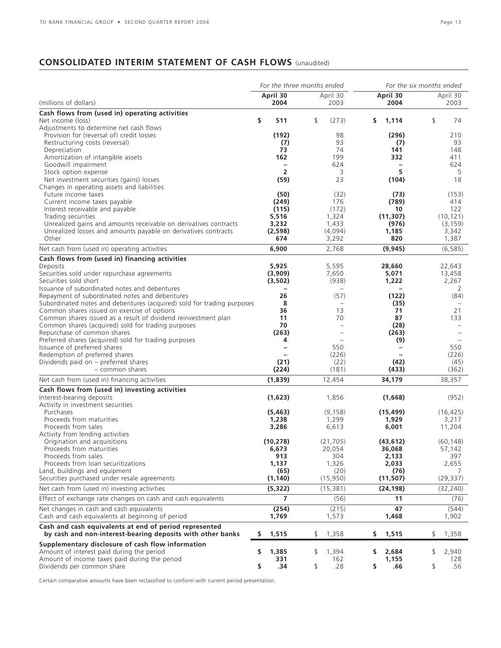# **CONSOLIDATED INTERIM STATEMENT OF CASH FLOWS** (unaudited)

| April 30<br>April 30<br>April 30<br>April 30<br>(millions of dollars)<br>2004<br>2003<br>2004<br>2003<br>Cash flows from (used in) operating activities<br>\$<br>\$<br>511<br>\$<br>(273)<br>\$.<br>1,114<br>74<br>Net income (loss)<br>Adjustments to determine net cash flows<br>Provision for (reversal of) credit losses<br>(192)<br>(296)<br>98<br>210<br>93<br>93<br>Restructuring costs (reversal)<br>(7)<br>(7)<br>73<br>74<br>141<br>148<br>Depreciation<br>162<br>199<br>332<br>411<br>Amortization of intangible assets<br>Goodwill impairment<br>624<br>624<br>$\overline{\phantom{a}}$<br>$\overline{\phantom{0}}$<br>$\overline{2}$<br>5<br>3<br>5<br>Stock option expense<br>(59)<br>Net investment securities (gains) losses<br>23<br>(104)<br>18<br>Changes in operating assets and liabilities<br>(50)<br>Future income taxes<br>(32)<br>(73)<br>(153)<br>176<br>(789)<br>414<br>Current income taxes payable<br>(249)<br>(172)<br>122<br>Interest receivable and payable<br>(115)<br>10<br>5,516<br>1,324<br>(11, 307)<br>(10, 121)<br>Trading securities<br>Unrealized gains and amounts receivable on derivatives contracts<br>3,232<br>1,433<br>(976)<br>(3, 159)<br>Unrealized losses and amounts payable on derivatives contracts<br>(4,094)<br>(2,598)<br>1,185<br>3,342<br>Other<br>674<br>3,292<br>820<br>1,387<br>2,768<br>Net cash from (used in) operating activities<br>6,900<br>(9, 945)<br>(6, 585)<br>Cash flows from (used in) financing activities<br>5,925<br>5,595<br>28,660<br>22,643<br>Deposits<br>Securities sold under repurchase agreements<br>7,650<br>(3,909)<br>5,071<br>13,458<br>Securities sold short<br>(938)<br>2,267<br>(3,502)<br>1,222<br>Issuance of subordinated notes and debentures<br>2<br>$\overline{\phantom{0}}$<br>Repayment of subordinated notes and debentures<br>26<br>(57)<br>(84)<br>(122)<br>Subordinated notes and debentures (acquired) sold for trading purposes<br>8<br>(35)<br>$\qquad \qquad -$<br>Common shares issued on exercise of options<br>36<br>13<br>21<br>71<br>Common shares issued as a result of dividend reinvestment plan<br>11<br>70<br>87<br>133<br>Common shares (acquired) sold for trading purposes<br>70<br>(28)<br>Repurchase of common shares<br>(263)<br>(263)<br>$\overline{\phantom{0}}$<br>Preferred shares (acquired) sold for trading purposes<br>4<br>(9)<br>$\overline{a}$<br>Issuance of preferred shares<br>550<br>550<br>$\overline{\phantom{0}}$<br>Redemption of preferred shares<br>(226)<br>(226)<br>$\equiv$<br>Dividends paid on - preferred shares<br>(42)<br>(21)<br>(22)<br>(45)<br>- common shares<br>(224)<br>(181)<br>(433)<br>(362)<br>Net cash from (used in) financing activities<br>(1,839)<br>34,179<br>38,357<br>12,454<br>Cash flows from (used in) investing activities<br>Interest-bearing deposits<br>(1,623)<br>1,856<br>(1,668)<br>(952)<br>Activity in investment securities<br>Purchases<br>(5, 463)<br>(9, 158)<br>(15, 499)<br>(16, 425)<br>Proceeds from maturities<br>1,299<br>1,238<br>1,929<br>3,217<br>Proceeds from sales<br>6,613<br>3,286<br>6,001<br>11,204<br>Activity from lending activities<br>(10, 278)<br>(43, 612)<br>Origination and acquisitions<br>(21, 705)<br>(60, 148)<br>Proceeds from maturities<br>20,054<br>57,142<br>6,673<br>36,068<br>Proceeds from sales<br>913<br>304<br>397<br>2,133<br>Proceeds from loan securitizations<br>1,326<br>1,137<br>2,655<br>2,033<br>Land, buildings and equipment<br>(65)<br>(20)<br>(76)<br>Securities purchased under resale agreements<br>(15, 950)<br>(29, 337)<br>(1, 140)<br>(11, 507)<br>Net cash from (used in) investing activities<br>(5, 322)<br>(32, 240)<br>(15, 381)<br>(24, 198)<br>$\overline{7}$<br>Effect of exchange rate changes on cash and cash equivalents<br>(56)<br>11<br>(76)<br>Net changes in cash and cash equivalents<br>(254)<br>(215)<br>47<br>(544)<br>Cash and cash equivalents at beginning of period<br>1,573<br>1,769<br>1,468<br>1,902<br>Cash and cash equivalents at end of period represented<br>by cash and non-interest-bearing deposits with other banks<br>1,515<br>\$<br>1,358<br>1,515<br>1,358<br>\$<br>\$.<br>\$<br>Supplementary disclosure of cash flow information<br>Amount of interest paid during the period<br>\$<br>1,385<br>\$<br>1,394<br>2,940<br>\$.<br>2,684<br>\$<br>Amount of income taxes paid during the period<br>331<br>162<br>1,155<br>128<br>Dividends per common share<br>\$<br>.34<br>\$<br>.28<br>\$<br>\$<br>.56<br>.66 |  | For the three months ended |  | For the six months ended |  |  |  |  |
|------------------------------------------------------------------------------------------------------------------------------------------------------------------------------------------------------------------------------------------------------------------------------------------------------------------------------------------------------------------------------------------------------------------------------------------------------------------------------------------------------------------------------------------------------------------------------------------------------------------------------------------------------------------------------------------------------------------------------------------------------------------------------------------------------------------------------------------------------------------------------------------------------------------------------------------------------------------------------------------------------------------------------------------------------------------------------------------------------------------------------------------------------------------------------------------------------------------------------------------------------------------------------------------------------------------------------------------------------------------------------------------------------------------------------------------------------------------------------------------------------------------------------------------------------------------------------------------------------------------------------------------------------------------------------------------------------------------------------------------------------------------------------------------------------------------------------------------------------------------------------------------------------------------------------------------------------------------------------------------------------------------------------------------------------------------------------------------------------------------------------------------------------------------------------------------------------------------------------------------------------------------------------------------------------------------------------------------------------------------------------------------------------------------------------------------------------------------------------------------------------------------------------------------------------------------------------------------------------------------------------------------------------------------------------------------------------------------------------------------------------------------------------------------------------------------------------------------------------------------------------------------------------------------------------------------------------------------------------------------------------------------------------------------------------------------------------------------------------------------------------------------------------------------------------------------------------------------------------------------------------------------------------------------------------------------------------------------------------------------------------------------------------------------------------------------------------------------------------------------------------------------------------------------------------------------------------------------------------------------------------------------------------------------------------------------------------------------------------------------------------------------------------------------------------------------------------------------------------------------------------------------------------------------------------------------------------------------------------------------------------------------------------------------------------------------------------------------------------------------------------------------------------------------------------------------------------------------------------------------------------------------------------------------------------------------------------------------------------------------------------------------------------------------------------------------------------------------------------------------------------------|--|----------------------------|--|--------------------------|--|--|--|--|
|                                                                                                                                                                                                                                                                                                                                                                                                                                                                                                                                                                                                                                                                                                                                                                                                                                                                                                                                                                                                                                                                                                                                                                                                                                                                                                                                                                                                                                                                                                                                                                                                                                                                                                                                                                                                                                                                                                                                                                                                                                                                                                                                                                                                                                                                                                                                                                                                                                                                                                                                                                                                                                                                                                                                                                                                                                                                                                                                                                                                                                                                                                                                                                                                                                                                                                                                                                                                                                                                                                                                                                                                                                                                                                                                                                                                                                                                                                                                                                                                                                                                                                                                                                                                                                                                                                                                                                                                                                                                                                            |  |                            |  |                          |  |  |  |  |
|                                                                                                                                                                                                                                                                                                                                                                                                                                                                                                                                                                                                                                                                                                                                                                                                                                                                                                                                                                                                                                                                                                                                                                                                                                                                                                                                                                                                                                                                                                                                                                                                                                                                                                                                                                                                                                                                                                                                                                                                                                                                                                                                                                                                                                                                                                                                                                                                                                                                                                                                                                                                                                                                                                                                                                                                                                                                                                                                                                                                                                                                                                                                                                                                                                                                                                                                                                                                                                                                                                                                                                                                                                                                                                                                                                                                                                                                                                                                                                                                                                                                                                                                                                                                                                                                                                                                                                                                                                                                                                            |  |                            |  |                          |  |  |  |  |
|                                                                                                                                                                                                                                                                                                                                                                                                                                                                                                                                                                                                                                                                                                                                                                                                                                                                                                                                                                                                                                                                                                                                                                                                                                                                                                                                                                                                                                                                                                                                                                                                                                                                                                                                                                                                                                                                                                                                                                                                                                                                                                                                                                                                                                                                                                                                                                                                                                                                                                                                                                                                                                                                                                                                                                                                                                                                                                                                                                                                                                                                                                                                                                                                                                                                                                                                                                                                                                                                                                                                                                                                                                                                                                                                                                                                                                                                                                                                                                                                                                                                                                                                                                                                                                                                                                                                                                                                                                                                                                            |  |                            |  |                          |  |  |  |  |
|                                                                                                                                                                                                                                                                                                                                                                                                                                                                                                                                                                                                                                                                                                                                                                                                                                                                                                                                                                                                                                                                                                                                                                                                                                                                                                                                                                                                                                                                                                                                                                                                                                                                                                                                                                                                                                                                                                                                                                                                                                                                                                                                                                                                                                                                                                                                                                                                                                                                                                                                                                                                                                                                                                                                                                                                                                                                                                                                                                                                                                                                                                                                                                                                                                                                                                                                                                                                                                                                                                                                                                                                                                                                                                                                                                                                                                                                                                                                                                                                                                                                                                                                                                                                                                                                                                                                                                                                                                                                                                            |  |                            |  |                          |  |  |  |  |
|                                                                                                                                                                                                                                                                                                                                                                                                                                                                                                                                                                                                                                                                                                                                                                                                                                                                                                                                                                                                                                                                                                                                                                                                                                                                                                                                                                                                                                                                                                                                                                                                                                                                                                                                                                                                                                                                                                                                                                                                                                                                                                                                                                                                                                                                                                                                                                                                                                                                                                                                                                                                                                                                                                                                                                                                                                                                                                                                                                                                                                                                                                                                                                                                                                                                                                                                                                                                                                                                                                                                                                                                                                                                                                                                                                                                                                                                                                                                                                                                                                                                                                                                                                                                                                                                                                                                                                                                                                                                                                            |  |                            |  |                          |  |  |  |  |
|                                                                                                                                                                                                                                                                                                                                                                                                                                                                                                                                                                                                                                                                                                                                                                                                                                                                                                                                                                                                                                                                                                                                                                                                                                                                                                                                                                                                                                                                                                                                                                                                                                                                                                                                                                                                                                                                                                                                                                                                                                                                                                                                                                                                                                                                                                                                                                                                                                                                                                                                                                                                                                                                                                                                                                                                                                                                                                                                                                                                                                                                                                                                                                                                                                                                                                                                                                                                                                                                                                                                                                                                                                                                                                                                                                                                                                                                                                                                                                                                                                                                                                                                                                                                                                                                                                                                                                                                                                                                                                            |  |                            |  |                          |  |  |  |  |
|                                                                                                                                                                                                                                                                                                                                                                                                                                                                                                                                                                                                                                                                                                                                                                                                                                                                                                                                                                                                                                                                                                                                                                                                                                                                                                                                                                                                                                                                                                                                                                                                                                                                                                                                                                                                                                                                                                                                                                                                                                                                                                                                                                                                                                                                                                                                                                                                                                                                                                                                                                                                                                                                                                                                                                                                                                                                                                                                                                                                                                                                                                                                                                                                                                                                                                                                                                                                                                                                                                                                                                                                                                                                                                                                                                                                                                                                                                                                                                                                                                                                                                                                                                                                                                                                                                                                                                                                                                                                                                            |  |                            |  |                          |  |  |  |  |
|                                                                                                                                                                                                                                                                                                                                                                                                                                                                                                                                                                                                                                                                                                                                                                                                                                                                                                                                                                                                                                                                                                                                                                                                                                                                                                                                                                                                                                                                                                                                                                                                                                                                                                                                                                                                                                                                                                                                                                                                                                                                                                                                                                                                                                                                                                                                                                                                                                                                                                                                                                                                                                                                                                                                                                                                                                                                                                                                                                                                                                                                                                                                                                                                                                                                                                                                                                                                                                                                                                                                                                                                                                                                                                                                                                                                                                                                                                                                                                                                                                                                                                                                                                                                                                                                                                                                                                                                                                                                                                            |  |                            |  |                          |  |  |  |  |
|                                                                                                                                                                                                                                                                                                                                                                                                                                                                                                                                                                                                                                                                                                                                                                                                                                                                                                                                                                                                                                                                                                                                                                                                                                                                                                                                                                                                                                                                                                                                                                                                                                                                                                                                                                                                                                                                                                                                                                                                                                                                                                                                                                                                                                                                                                                                                                                                                                                                                                                                                                                                                                                                                                                                                                                                                                                                                                                                                                                                                                                                                                                                                                                                                                                                                                                                                                                                                                                                                                                                                                                                                                                                                                                                                                                                                                                                                                                                                                                                                                                                                                                                                                                                                                                                                                                                                                                                                                                                                                            |  |                            |  |                          |  |  |  |  |
|                                                                                                                                                                                                                                                                                                                                                                                                                                                                                                                                                                                                                                                                                                                                                                                                                                                                                                                                                                                                                                                                                                                                                                                                                                                                                                                                                                                                                                                                                                                                                                                                                                                                                                                                                                                                                                                                                                                                                                                                                                                                                                                                                                                                                                                                                                                                                                                                                                                                                                                                                                                                                                                                                                                                                                                                                                                                                                                                                                                                                                                                                                                                                                                                                                                                                                                                                                                                                                                                                                                                                                                                                                                                                                                                                                                                                                                                                                                                                                                                                                                                                                                                                                                                                                                                                                                                                                                                                                                                                                            |  |                            |  |                          |  |  |  |  |
|                                                                                                                                                                                                                                                                                                                                                                                                                                                                                                                                                                                                                                                                                                                                                                                                                                                                                                                                                                                                                                                                                                                                                                                                                                                                                                                                                                                                                                                                                                                                                                                                                                                                                                                                                                                                                                                                                                                                                                                                                                                                                                                                                                                                                                                                                                                                                                                                                                                                                                                                                                                                                                                                                                                                                                                                                                                                                                                                                                                                                                                                                                                                                                                                                                                                                                                                                                                                                                                                                                                                                                                                                                                                                                                                                                                                                                                                                                                                                                                                                                                                                                                                                                                                                                                                                                                                                                                                                                                                                                            |  |                            |  |                          |  |  |  |  |
|                                                                                                                                                                                                                                                                                                                                                                                                                                                                                                                                                                                                                                                                                                                                                                                                                                                                                                                                                                                                                                                                                                                                                                                                                                                                                                                                                                                                                                                                                                                                                                                                                                                                                                                                                                                                                                                                                                                                                                                                                                                                                                                                                                                                                                                                                                                                                                                                                                                                                                                                                                                                                                                                                                                                                                                                                                                                                                                                                                                                                                                                                                                                                                                                                                                                                                                                                                                                                                                                                                                                                                                                                                                                                                                                                                                                                                                                                                                                                                                                                                                                                                                                                                                                                                                                                                                                                                                                                                                                                                            |  |                            |  |                          |  |  |  |  |
|                                                                                                                                                                                                                                                                                                                                                                                                                                                                                                                                                                                                                                                                                                                                                                                                                                                                                                                                                                                                                                                                                                                                                                                                                                                                                                                                                                                                                                                                                                                                                                                                                                                                                                                                                                                                                                                                                                                                                                                                                                                                                                                                                                                                                                                                                                                                                                                                                                                                                                                                                                                                                                                                                                                                                                                                                                                                                                                                                                                                                                                                                                                                                                                                                                                                                                                                                                                                                                                                                                                                                                                                                                                                                                                                                                                                                                                                                                                                                                                                                                                                                                                                                                                                                                                                                                                                                                                                                                                                                                            |  |                            |  |                          |  |  |  |  |
|                                                                                                                                                                                                                                                                                                                                                                                                                                                                                                                                                                                                                                                                                                                                                                                                                                                                                                                                                                                                                                                                                                                                                                                                                                                                                                                                                                                                                                                                                                                                                                                                                                                                                                                                                                                                                                                                                                                                                                                                                                                                                                                                                                                                                                                                                                                                                                                                                                                                                                                                                                                                                                                                                                                                                                                                                                                                                                                                                                                                                                                                                                                                                                                                                                                                                                                                                                                                                                                                                                                                                                                                                                                                                                                                                                                                                                                                                                                                                                                                                                                                                                                                                                                                                                                                                                                                                                                                                                                                                                            |  |                            |  |                          |  |  |  |  |
|                                                                                                                                                                                                                                                                                                                                                                                                                                                                                                                                                                                                                                                                                                                                                                                                                                                                                                                                                                                                                                                                                                                                                                                                                                                                                                                                                                                                                                                                                                                                                                                                                                                                                                                                                                                                                                                                                                                                                                                                                                                                                                                                                                                                                                                                                                                                                                                                                                                                                                                                                                                                                                                                                                                                                                                                                                                                                                                                                                                                                                                                                                                                                                                                                                                                                                                                                                                                                                                                                                                                                                                                                                                                                                                                                                                                                                                                                                                                                                                                                                                                                                                                                                                                                                                                                                                                                                                                                                                                                                            |  |                            |  |                          |  |  |  |  |
|                                                                                                                                                                                                                                                                                                                                                                                                                                                                                                                                                                                                                                                                                                                                                                                                                                                                                                                                                                                                                                                                                                                                                                                                                                                                                                                                                                                                                                                                                                                                                                                                                                                                                                                                                                                                                                                                                                                                                                                                                                                                                                                                                                                                                                                                                                                                                                                                                                                                                                                                                                                                                                                                                                                                                                                                                                                                                                                                                                                                                                                                                                                                                                                                                                                                                                                                                                                                                                                                                                                                                                                                                                                                                                                                                                                                                                                                                                                                                                                                                                                                                                                                                                                                                                                                                                                                                                                                                                                                                                            |  |                            |  |                          |  |  |  |  |
|                                                                                                                                                                                                                                                                                                                                                                                                                                                                                                                                                                                                                                                                                                                                                                                                                                                                                                                                                                                                                                                                                                                                                                                                                                                                                                                                                                                                                                                                                                                                                                                                                                                                                                                                                                                                                                                                                                                                                                                                                                                                                                                                                                                                                                                                                                                                                                                                                                                                                                                                                                                                                                                                                                                                                                                                                                                                                                                                                                                                                                                                                                                                                                                                                                                                                                                                                                                                                                                                                                                                                                                                                                                                                                                                                                                                                                                                                                                                                                                                                                                                                                                                                                                                                                                                                                                                                                                                                                                                                                            |  |                            |  |                          |  |  |  |  |
|                                                                                                                                                                                                                                                                                                                                                                                                                                                                                                                                                                                                                                                                                                                                                                                                                                                                                                                                                                                                                                                                                                                                                                                                                                                                                                                                                                                                                                                                                                                                                                                                                                                                                                                                                                                                                                                                                                                                                                                                                                                                                                                                                                                                                                                                                                                                                                                                                                                                                                                                                                                                                                                                                                                                                                                                                                                                                                                                                                                                                                                                                                                                                                                                                                                                                                                                                                                                                                                                                                                                                                                                                                                                                                                                                                                                                                                                                                                                                                                                                                                                                                                                                                                                                                                                                                                                                                                                                                                                                                            |  |                            |  |                          |  |  |  |  |
|                                                                                                                                                                                                                                                                                                                                                                                                                                                                                                                                                                                                                                                                                                                                                                                                                                                                                                                                                                                                                                                                                                                                                                                                                                                                                                                                                                                                                                                                                                                                                                                                                                                                                                                                                                                                                                                                                                                                                                                                                                                                                                                                                                                                                                                                                                                                                                                                                                                                                                                                                                                                                                                                                                                                                                                                                                                                                                                                                                                                                                                                                                                                                                                                                                                                                                                                                                                                                                                                                                                                                                                                                                                                                                                                                                                                                                                                                                                                                                                                                                                                                                                                                                                                                                                                                                                                                                                                                                                                                                            |  |                            |  |                          |  |  |  |  |
|                                                                                                                                                                                                                                                                                                                                                                                                                                                                                                                                                                                                                                                                                                                                                                                                                                                                                                                                                                                                                                                                                                                                                                                                                                                                                                                                                                                                                                                                                                                                                                                                                                                                                                                                                                                                                                                                                                                                                                                                                                                                                                                                                                                                                                                                                                                                                                                                                                                                                                                                                                                                                                                                                                                                                                                                                                                                                                                                                                                                                                                                                                                                                                                                                                                                                                                                                                                                                                                                                                                                                                                                                                                                                                                                                                                                                                                                                                                                                                                                                                                                                                                                                                                                                                                                                                                                                                                                                                                                                                            |  |                            |  |                          |  |  |  |  |
|                                                                                                                                                                                                                                                                                                                                                                                                                                                                                                                                                                                                                                                                                                                                                                                                                                                                                                                                                                                                                                                                                                                                                                                                                                                                                                                                                                                                                                                                                                                                                                                                                                                                                                                                                                                                                                                                                                                                                                                                                                                                                                                                                                                                                                                                                                                                                                                                                                                                                                                                                                                                                                                                                                                                                                                                                                                                                                                                                                                                                                                                                                                                                                                                                                                                                                                                                                                                                                                                                                                                                                                                                                                                                                                                                                                                                                                                                                                                                                                                                                                                                                                                                                                                                                                                                                                                                                                                                                                                                                            |  |                            |  |                          |  |  |  |  |
|                                                                                                                                                                                                                                                                                                                                                                                                                                                                                                                                                                                                                                                                                                                                                                                                                                                                                                                                                                                                                                                                                                                                                                                                                                                                                                                                                                                                                                                                                                                                                                                                                                                                                                                                                                                                                                                                                                                                                                                                                                                                                                                                                                                                                                                                                                                                                                                                                                                                                                                                                                                                                                                                                                                                                                                                                                                                                                                                                                                                                                                                                                                                                                                                                                                                                                                                                                                                                                                                                                                                                                                                                                                                                                                                                                                                                                                                                                                                                                                                                                                                                                                                                                                                                                                                                                                                                                                                                                                                                                            |  |                            |  |                          |  |  |  |  |
|                                                                                                                                                                                                                                                                                                                                                                                                                                                                                                                                                                                                                                                                                                                                                                                                                                                                                                                                                                                                                                                                                                                                                                                                                                                                                                                                                                                                                                                                                                                                                                                                                                                                                                                                                                                                                                                                                                                                                                                                                                                                                                                                                                                                                                                                                                                                                                                                                                                                                                                                                                                                                                                                                                                                                                                                                                                                                                                                                                                                                                                                                                                                                                                                                                                                                                                                                                                                                                                                                                                                                                                                                                                                                                                                                                                                                                                                                                                                                                                                                                                                                                                                                                                                                                                                                                                                                                                                                                                                                                            |  |                            |  |                          |  |  |  |  |
|                                                                                                                                                                                                                                                                                                                                                                                                                                                                                                                                                                                                                                                                                                                                                                                                                                                                                                                                                                                                                                                                                                                                                                                                                                                                                                                                                                                                                                                                                                                                                                                                                                                                                                                                                                                                                                                                                                                                                                                                                                                                                                                                                                                                                                                                                                                                                                                                                                                                                                                                                                                                                                                                                                                                                                                                                                                                                                                                                                                                                                                                                                                                                                                                                                                                                                                                                                                                                                                                                                                                                                                                                                                                                                                                                                                                                                                                                                                                                                                                                                                                                                                                                                                                                                                                                                                                                                                                                                                                                                            |  |                            |  |                          |  |  |  |  |
|                                                                                                                                                                                                                                                                                                                                                                                                                                                                                                                                                                                                                                                                                                                                                                                                                                                                                                                                                                                                                                                                                                                                                                                                                                                                                                                                                                                                                                                                                                                                                                                                                                                                                                                                                                                                                                                                                                                                                                                                                                                                                                                                                                                                                                                                                                                                                                                                                                                                                                                                                                                                                                                                                                                                                                                                                                                                                                                                                                                                                                                                                                                                                                                                                                                                                                                                                                                                                                                                                                                                                                                                                                                                                                                                                                                                                                                                                                                                                                                                                                                                                                                                                                                                                                                                                                                                                                                                                                                                                                            |  |                            |  |                          |  |  |  |  |
|                                                                                                                                                                                                                                                                                                                                                                                                                                                                                                                                                                                                                                                                                                                                                                                                                                                                                                                                                                                                                                                                                                                                                                                                                                                                                                                                                                                                                                                                                                                                                                                                                                                                                                                                                                                                                                                                                                                                                                                                                                                                                                                                                                                                                                                                                                                                                                                                                                                                                                                                                                                                                                                                                                                                                                                                                                                                                                                                                                                                                                                                                                                                                                                                                                                                                                                                                                                                                                                                                                                                                                                                                                                                                                                                                                                                                                                                                                                                                                                                                                                                                                                                                                                                                                                                                                                                                                                                                                                                                                            |  |                            |  |                          |  |  |  |  |
|                                                                                                                                                                                                                                                                                                                                                                                                                                                                                                                                                                                                                                                                                                                                                                                                                                                                                                                                                                                                                                                                                                                                                                                                                                                                                                                                                                                                                                                                                                                                                                                                                                                                                                                                                                                                                                                                                                                                                                                                                                                                                                                                                                                                                                                                                                                                                                                                                                                                                                                                                                                                                                                                                                                                                                                                                                                                                                                                                                                                                                                                                                                                                                                                                                                                                                                                                                                                                                                                                                                                                                                                                                                                                                                                                                                                                                                                                                                                                                                                                                                                                                                                                                                                                                                                                                                                                                                                                                                                                                            |  |                            |  |                          |  |  |  |  |
|                                                                                                                                                                                                                                                                                                                                                                                                                                                                                                                                                                                                                                                                                                                                                                                                                                                                                                                                                                                                                                                                                                                                                                                                                                                                                                                                                                                                                                                                                                                                                                                                                                                                                                                                                                                                                                                                                                                                                                                                                                                                                                                                                                                                                                                                                                                                                                                                                                                                                                                                                                                                                                                                                                                                                                                                                                                                                                                                                                                                                                                                                                                                                                                                                                                                                                                                                                                                                                                                                                                                                                                                                                                                                                                                                                                                                                                                                                                                                                                                                                                                                                                                                                                                                                                                                                                                                                                                                                                                                                            |  |                            |  |                          |  |  |  |  |
|                                                                                                                                                                                                                                                                                                                                                                                                                                                                                                                                                                                                                                                                                                                                                                                                                                                                                                                                                                                                                                                                                                                                                                                                                                                                                                                                                                                                                                                                                                                                                                                                                                                                                                                                                                                                                                                                                                                                                                                                                                                                                                                                                                                                                                                                                                                                                                                                                                                                                                                                                                                                                                                                                                                                                                                                                                                                                                                                                                                                                                                                                                                                                                                                                                                                                                                                                                                                                                                                                                                                                                                                                                                                                                                                                                                                                                                                                                                                                                                                                                                                                                                                                                                                                                                                                                                                                                                                                                                                                                            |  |                            |  |                          |  |  |  |  |
|                                                                                                                                                                                                                                                                                                                                                                                                                                                                                                                                                                                                                                                                                                                                                                                                                                                                                                                                                                                                                                                                                                                                                                                                                                                                                                                                                                                                                                                                                                                                                                                                                                                                                                                                                                                                                                                                                                                                                                                                                                                                                                                                                                                                                                                                                                                                                                                                                                                                                                                                                                                                                                                                                                                                                                                                                                                                                                                                                                                                                                                                                                                                                                                                                                                                                                                                                                                                                                                                                                                                                                                                                                                                                                                                                                                                                                                                                                                                                                                                                                                                                                                                                                                                                                                                                                                                                                                                                                                                                                            |  |                            |  |                          |  |  |  |  |
|                                                                                                                                                                                                                                                                                                                                                                                                                                                                                                                                                                                                                                                                                                                                                                                                                                                                                                                                                                                                                                                                                                                                                                                                                                                                                                                                                                                                                                                                                                                                                                                                                                                                                                                                                                                                                                                                                                                                                                                                                                                                                                                                                                                                                                                                                                                                                                                                                                                                                                                                                                                                                                                                                                                                                                                                                                                                                                                                                                                                                                                                                                                                                                                                                                                                                                                                                                                                                                                                                                                                                                                                                                                                                                                                                                                                                                                                                                                                                                                                                                                                                                                                                                                                                                                                                                                                                                                                                                                                                                            |  |                            |  |                          |  |  |  |  |
|                                                                                                                                                                                                                                                                                                                                                                                                                                                                                                                                                                                                                                                                                                                                                                                                                                                                                                                                                                                                                                                                                                                                                                                                                                                                                                                                                                                                                                                                                                                                                                                                                                                                                                                                                                                                                                                                                                                                                                                                                                                                                                                                                                                                                                                                                                                                                                                                                                                                                                                                                                                                                                                                                                                                                                                                                                                                                                                                                                                                                                                                                                                                                                                                                                                                                                                                                                                                                                                                                                                                                                                                                                                                                                                                                                                                                                                                                                                                                                                                                                                                                                                                                                                                                                                                                                                                                                                                                                                                                                            |  |                            |  |                          |  |  |  |  |
|                                                                                                                                                                                                                                                                                                                                                                                                                                                                                                                                                                                                                                                                                                                                                                                                                                                                                                                                                                                                                                                                                                                                                                                                                                                                                                                                                                                                                                                                                                                                                                                                                                                                                                                                                                                                                                                                                                                                                                                                                                                                                                                                                                                                                                                                                                                                                                                                                                                                                                                                                                                                                                                                                                                                                                                                                                                                                                                                                                                                                                                                                                                                                                                                                                                                                                                                                                                                                                                                                                                                                                                                                                                                                                                                                                                                                                                                                                                                                                                                                                                                                                                                                                                                                                                                                                                                                                                                                                                                                                            |  |                            |  |                          |  |  |  |  |
|                                                                                                                                                                                                                                                                                                                                                                                                                                                                                                                                                                                                                                                                                                                                                                                                                                                                                                                                                                                                                                                                                                                                                                                                                                                                                                                                                                                                                                                                                                                                                                                                                                                                                                                                                                                                                                                                                                                                                                                                                                                                                                                                                                                                                                                                                                                                                                                                                                                                                                                                                                                                                                                                                                                                                                                                                                                                                                                                                                                                                                                                                                                                                                                                                                                                                                                                                                                                                                                                                                                                                                                                                                                                                                                                                                                                                                                                                                                                                                                                                                                                                                                                                                                                                                                                                                                                                                                                                                                                                                            |  |                            |  |                          |  |  |  |  |
|                                                                                                                                                                                                                                                                                                                                                                                                                                                                                                                                                                                                                                                                                                                                                                                                                                                                                                                                                                                                                                                                                                                                                                                                                                                                                                                                                                                                                                                                                                                                                                                                                                                                                                                                                                                                                                                                                                                                                                                                                                                                                                                                                                                                                                                                                                                                                                                                                                                                                                                                                                                                                                                                                                                                                                                                                                                                                                                                                                                                                                                                                                                                                                                                                                                                                                                                                                                                                                                                                                                                                                                                                                                                                                                                                                                                                                                                                                                                                                                                                                                                                                                                                                                                                                                                                                                                                                                                                                                                                                            |  |                            |  |                          |  |  |  |  |
|                                                                                                                                                                                                                                                                                                                                                                                                                                                                                                                                                                                                                                                                                                                                                                                                                                                                                                                                                                                                                                                                                                                                                                                                                                                                                                                                                                                                                                                                                                                                                                                                                                                                                                                                                                                                                                                                                                                                                                                                                                                                                                                                                                                                                                                                                                                                                                                                                                                                                                                                                                                                                                                                                                                                                                                                                                                                                                                                                                                                                                                                                                                                                                                                                                                                                                                                                                                                                                                                                                                                                                                                                                                                                                                                                                                                                                                                                                                                                                                                                                                                                                                                                                                                                                                                                                                                                                                                                                                                                                            |  |                            |  |                          |  |  |  |  |
|                                                                                                                                                                                                                                                                                                                                                                                                                                                                                                                                                                                                                                                                                                                                                                                                                                                                                                                                                                                                                                                                                                                                                                                                                                                                                                                                                                                                                                                                                                                                                                                                                                                                                                                                                                                                                                                                                                                                                                                                                                                                                                                                                                                                                                                                                                                                                                                                                                                                                                                                                                                                                                                                                                                                                                                                                                                                                                                                                                                                                                                                                                                                                                                                                                                                                                                                                                                                                                                                                                                                                                                                                                                                                                                                                                                                                                                                                                                                                                                                                                                                                                                                                                                                                                                                                                                                                                                                                                                                                                            |  |                            |  |                          |  |  |  |  |
|                                                                                                                                                                                                                                                                                                                                                                                                                                                                                                                                                                                                                                                                                                                                                                                                                                                                                                                                                                                                                                                                                                                                                                                                                                                                                                                                                                                                                                                                                                                                                                                                                                                                                                                                                                                                                                                                                                                                                                                                                                                                                                                                                                                                                                                                                                                                                                                                                                                                                                                                                                                                                                                                                                                                                                                                                                                                                                                                                                                                                                                                                                                                                                                                                                                                                                                                                                                                                                                                                                                                                                                                                                                                                                                                                                                                                                                                                                                                                                                                                                                                                                                                                                                                                                                                                                                                                                                                                                                                                                            |  |                            |  |                          |  |  |  |  |
|                                                                                                                                                                                                                                                                                                                                                                                                                                                                                                                                                                                                                                                                                                                                                                                                                                                                                                                                                                                                                                                                                                                                                                                                                                                                                                                                                                                                                                                                                                                                                                                                                                                                                                                                                                                                                                                                                                                                                                                                                                                                                                                                                                                                                                                                                                                                                                                                                                                                                                                                                                                                                                                                                                                                                                                                                                                                                                                                                                                                                                                                                                                                                                                                                                                                                                                                                                                                                                                                                                                                                                                                                                                                                                                                                                                                                                                                                                                                                                                                                                                                                                                                                                                                                                                                                                                                                                                                                                                                                                            |  |                            |  |                          |  |  |  |  |
|                                                                                                                                                                                                                                                                                                                                                                                                                                                                                                                                                                                                                                                                                                                                                                                                                                                                                                                                                                                                                                                                                                                                                                                                                                                                                                                                                                                                                                                                                                                                                                                                                                                                                                                                                                                                                                                                                                                                                                                                                                                                                                                                                                                                                                                                                                                                                                                                                                                                                                                                                                                                                                                                                                                                                                                                                                                                                                                                                                                                                                                                                                                                                                                                                                                                                                                                                                                                                                                                                                                                                                                                                                                                                                                                                                                                                                                                                                                                                                                                                                                                                                                                                                                                                                                                                                                                                                                                                                                                                                            |  |                            |  |                          |  |  |  |  |
|                                                                                                                                                                                                                                                                                                                                                                                                                                                                                                                                                                                                                                                                                                                                                                                                                                                                                                                                                                                                                                                                                                                                                                                                                                                                                                                                                                                                                                                                                                                                                                                                                                                                                                                                                                                                                                                                                                                                                                                                                                                                                                                                                                                                                                                                                                                                                                                                                                                                                                                                                                                                                                                                                                                                                                                                                                                                                                                                                                                                                                                                                                                                                                                                                                                                                                                                                                                                                                                                                                                                                                                                                                                                                                                                                                                                                                                                                                                                                                                                                                                                                                                                                                                                                                                                                                                                                                                                                                                                                                            |  |                            |  |                          |  |  |  |  |
|                                                                                                                                                                                                                                                                                                                                                                                                                                                                                                                                                                                                                                                                                                                                                                                                                                                                                                                                                                                                                                                                                                                                                                                                                                                                                                                                                                                                                                                                                                                                                                                                                                                                                                                                                                                                                                                                                                                                                                                                                                                                                                                                                                                                                                                                                                                                                                                                                                                                                                                                                                                                                                                                                                                                                                                                                                                                                                                                                                                                                                                                                                                                                                                                                                                                                                                                                                                                                                                                                                                                                                                                                                                                                                                                                                                                                                                                                                                                                                                                                                                                                                                                                                                                                                                                                                                                                                                                                                                                                                            |  |                            |  |                          |  |  |  |  |
|                                                                                                                                                                                                                                                                                                                                                                                                                                                                                                                                                                                                                                                                                                                                                                                                                                                                                                                                                                                                                                                                                                                                                                                                                                                                                                                                                                                                                                                                                                                                                                                                                                                                                                                                                                                                                                                                                                                                                                                                                                                                                                                                                                                                                                                                                                                                                                                                                                                                                                                                                                                                                                                                                                                                                                                                                                                                                                                                                                                                                                                                                                                                                                                                                                                                                                                                                                                                                                                                                                                                                                                                                                                                                                                                                                                                                                                                                                                                                                                                                                                                                                                                                                                                                                                                                                                                                                                                                                                                                                            |  |                            |  |                          |  |  |  |  |
|                                                                                                                                                                                                                                                                                                                                                                                                                                                                                                                                                                                                                                                                                                                                                                                                                                                                                                                                                                                                                                                                                                                                                                                                                                                                                                                                                                                                                                                                                                                                                                                                                                                                                                                                                                                                                                                                                                                                                                                                                                                                                                                                                                                                                                                                                                                                                                                                                                                                                                                                                                                                                                                                                                                                                                                                                                                                                                                                                                                                                                                                                                                                                                                                                                                                                                                                                                                                                                                                                                                                                                                                                                                                                                                                                                                                                                                                                                                                                                                                                                                                                                                                                                                                                                                                                                                                                                                                                                                                                                            |  |                            |  |                          |  |  |  |  |
|                                                                                                                                                                                                                                                                                                                                                                                                                                                                                                                                                                                                                                                                                                                                                                                                                                                                                                                                                                                                                                                                                                                                                                                                                                                                                                                                                                                                                                                                                                                                                                                                                                                                                                                                                                                                                                                                                                                                                                                                                                                                                                                                                                                                                                                                                                                                                                                                                                                                                                                                                                                                                                                                                                                                                                                                                                                                                                                                                                                                                                                                                                                                                                                                                                                                                                                                                                                                                                                                                                                                                                                                                                                                                                                                                                                                                                                                                                                                                                                                                                                                                                                                                                                                                                                                                                                                                                                                                                                                                                            |  |                            |  |                          |  |  |  |  |
|                                                                                                                                                                                                                                                                                                                                                                                                                                                                                                                                                                                                                                                                                                                                                                                                                                                                                                                                                                                                                                                                                                                                                                                                                                                                                                                                                                                                                                                                                                                                                                                                                                                                                                                                                                                                                                                                                                                                                                                                                                                                                                                                                                                                                                                                                                                                                                                                                                                                                                                                                                                                                                                                                                                                                                                                                                                                                                                                                                                                                                                                                                                                                                                                                                                                                                                                                                                                                                                                                                                                                                                                                                                                                                                                                                                                                                                                                                                                                                                                                                                                                                                                                                                                                                                                                                                                                                                                                                                                                                            |  |                            |  |                          |  |  |  |  |
|                                                                                                                                                                                                                                                                                                                                                                                                                                                                                                                                                                                                                                                                                                                                                                                                                                                                                                                                                                                                                                                                                                                                                                                                                                                                                                                                                                                                                                                                                                                                                                                                                                                                                                                                                                                                                                                                                                                                                                                                                                                                                                                                                                                                                                                                                                                                                                                                                                                                                                                                                                                                                                                                                                                                                                                                                                                                                                                                                                                                                                                                                                                                                                                                                                                                                                                                                                                                                                                                                                                                                                                                                                                                                                                                                                                                                                                                                                                                                                                                                                                                                                                                                                                                                                                                                                                                                                                                                                                                                                            |  |                            |  |                          |  |  |  |  |
|                                                                                                                                                                                                                                                                                                                                                                                                                                                                                                                                                                                                                                                                                                                                                                                                                                                                                                                                                                                                                                                                                                                                                                                                                                                                                                                                                                                                                                                                                                                                                                                                                                                                                                                                                                                                                                                                                                                                                                                                                                                                                                                                                                                                                                                                                                                                                                                                                                                                                                                                                                                                                                                                                                                                                                                                                                                                                                                                                                                                                                                                                                                                                                                                                                                                                                                                                                                                                                                                                                                                                                                                                                                                                                                                                                                                                                                                                                                                                                                                                                                                                                                                                                                                                                                                                                                                                                                                                                                                                                            |  |                            |  |                          |  |  |  |  |
|                                                                                                                                                                                                                                                                                                                                                                                                                                                                                                                                                                                                                                                                                                                                                                                                                                                                                                                                                                                                                                                                                                                                                                                                                                                                                                                                                                                                                                                                                                                                                                                                                                                                                                                                                                                                                                                                                                                                                                                                                                                                                                                                                                                                                                                                                                                                                                                                                                                                                                                                                                                                                                                                                                                                                                                                                                                                                                                                                                                                                                                                                                                                                                                                                                                                                                                                                                                                                                                                                                                                                                                                                                                                                                                                                                                                                                                                                                                                                                                                                                                                                                                                                                                                                                                                                                                                                                                                                                                                                                            |  |                            |  |                          |  |  |  |  |
|                                                                                                                                                                                                                                                                                                                                                                                                                                                                                                                                                                                                                                                                                                                                                                                                                                                                                                                                                                                                                                                                                                                                                                                                                                                                                                                                                                                                                                                                                                                                                                                                                                                                                                                                                                                                                                                                                                                                                                                                                                                                                                                                                                                                                                                                                                                                                                                                                                                                                                                                                                                                                                                                                                                                                                                                                                                                                                                                                                                                                                                                                                                                                                                                                                                                                                                                                                                                                                                                                                                                                                                                                                                                                                                                                                                                                                                                                                                                                                                                                                                                                                                                                                                                                                                                                                                                                                                                                                                                                                            |  |                            |  |                          |  |  |  |  |
|                                                                                                                                                                                                                                                                                                                                                                                                                                                                                                                                                                                                                                                                                                                                                                                                                                                                                                                                                                                                                                                                                                                                                                                                                                                                                                                                                                                                                                                                                                                                                                                                                                                                                                                                                                                                                                                                                                                                                                                                                                                                                                                                                                                                                                                                                                                                                                                                                                                                                                                                                                                                                                                                                                                                                                                                                                                                                                                                                                                                                                                                                                                                                                                                                                                                                                                                                                                                                                                                                                                                                                                                                                                                                                                                                                                                                                                                                                                                                                                                                                                                                                                                                                                                                                                                                                                                                                                                                                                                                                            |  |                            |  |                          |  |  |  |  |
|                                                                                                                                                                                                                                                                                                                                                                                                                                                                                                                                                                                                                                                                                                                                                                                                                                                                                                                                                                                                                                                                                                                                                                                                                                                                                                                                                                                                                                                                                                                                                                                                                                                                                                                                                                                                                                                                                                                                                                                                                                                                                                                                                                                                                                                                                                                                                                                                                                                                                                                                                                                                                                                                                                                                                                                                                                                                                                                                                                                                                                                                                                                                                                                                                                                                                                                                                                                                                                                                                                                                                                                                                                                                                                                                                                                                                                                                                                                                                                                                                                                                                                                                                                                                                                                                                                                                                                                                                                                                                                            |  |                            |  |                          |  |  |  |  |
|                                                                                                                                                                                                                                                                                                                                                                                                                                                                                                                                                                                                                                                                                                                                                                                                                                                                                                                                                                                                                                                                                                                                                                                                                                                                                                                                                                                                                                                                                                                                                                                                                                                                                                                                                                                                                                                                                                                                                                                                                                                                                                                                                                                                                                                                                                                                                                                                                                                                                                                                                                                                                                                                                                                                                                                                                                                                                                                                                                                                                                                                                                                                                                                                                                                                                                                                                                                                                                                                                                                                                                                                                                                                                                                                                                                                                                                                                                                                                                                                                                                                                                                                                                                                                                                                                                                                                                                                                                                                                                            |  |                            |  |                          |  |  |  |  |
|                                                                                                                                                                                                                                                                                                                                                                                                                                                                                                                                                                                                                                                                                                                                                                                                                                                                                                                                                                                                                                                                                                                                                                                                                                                                                                                                                                                                                                                                                                                                                                                                                                                                                                                                                                                                                                                                                                                                                                                                                                                                                                                                                                                                                                                                                                                                                                                                                                                                                                                                                                                                                                                                                                                                                                                                                                                                                                                                                                                                                                                                                                                                                                                                                                                                                                                                                                                                                                                                                                                                                                                                                                                                                                                                                                                                                                                                                                                                                                                                                                                                                                                                                                                                                                                                                                                                                                                                                                                                                                            |  |                            |  |                          |  |  |  |  |
|                                                                                                                                                                                                                                                                                                                                                                                                                                                                                                                                                                                                                                                                                                                                                                                                                                                                                                                                                                                                                                                                                                                                                                                                                                                                                                                                                                                                                                                                                                                                                                                                                                                                                                                                                                                                                                                                                                                                                                                                                                                                                                                                                                                                                                                                                                                                                                                                                                                                                                                                                                                                                                                                                                                                                                                                                                                                                                                                                                                                                                                                                                                                                                                                                                                                                                                                                                                                                                                                                                                                                                                                                                                                                                                                                                                                                                                                                                                                                                                                                                                                                                                                                                                                                                                                                                                                                                                                                                                                                                            |  |                            |  |                          |  |  |  |  |
|                                                                                                                                                                                                                                                                                                                                                                                                                                                                                                                                                                                                                                                                                                                                                                                                                                                                                                                                                                                                                                                                                                                                                                                                                                                                                                                                                                                                                                                                                                                                                                                                                                                                                                                                                                                                                                                                                                                                                                                                                                                                                                                                                                                                                                                                                                                                                                                                                                                                                                                                                                                                                                                                                                                                                                                                                                                                                                                                                                                                                                                                                                                                                                                                                                                                                                                                                                                                                                                                                                                                                                                                                                                                                                                                                                                                                                                                                                                                                                                                                                                                                                                                                                                                                                                                                                                                                                                                                                                                                                            |  |                            |  |                          |  |  |  |  |

Certain comparative amounts have been reclassified to conform with current period presentation.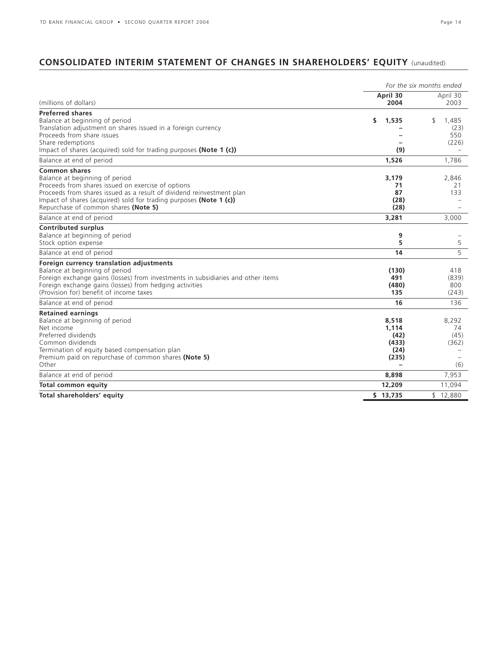# **CONSOLIDATED INTERIM STATEMENT OF CHANGES IN SHAREHOLDERS' EQUITY** (unaudited)

|                                                                                                                                                                                                                                                                                                     | For the six months ended                         |                                     |  |  |  |  |
|-----------------------------------------------------------------------------------------------------------------------------------------------------------------------------------------------------------------------------------------------------------------------------------------------------|--------------------------------------------------|-------------------------------------|--|--|--|--|
| (millions of dollars)                                                                                                                                                                                                                                                                               | April 30<br>2004                                 | April 30<br>2003                    |  |  |  |  |
| <b>Preferred shares</b><br>Balance at beginning of period<br>Translation adjustment on shares issued in a foreign currency<br>Proceeds from share issues<br>Share redemptions<br>Impact of shares (acquired) sold for trading purposes (Note 1 (c))                                                 | \$<br>1,535<br>(9)                               | \$<br>1,485<br>(23)<br>550<br>(226) |  |  |  |  |
| Balance at end of period                                                                                                                                                                                                                                                                            | 1,526                                            | 1.786                               |  |  |  |  |
| <b>Common shares</b><br>Balance at beginning of period<br>Proceeds from shares issued on exercise of options<br>Proceeds from shares issued as a result of dividend reinvestment plan<br>Impact of shares (acquired) sold for trading purposes (Note 1 (c))<br>Repurchase of common shares (Note 5) | 3.179<br>71<br>87<br>(28)<br>(28)                | 2.846<br>21<br>133                  |  |  |  |  |
| Balance at end of period                                                                                                                                                                                                                                                                            | 3,281                                            | 3.000                               |  |  |  |  |
| <b>Contributed surplus</b><br>Balance at beginning of period<br>Stock option expense                                                                                                                                                                                                                | 9<br>5                                           | 5<br>5                              |  |  |  |  |
| Balance at end of period                                                                                                                                                                                                                                                                            | 14                                               |                                     |  |  |  |  |
| Foreign currency translation adjustments<br>Balance at beginning of period<br>Foreign exchange gains (losses) from investments in subsidiaries and other items<br>Foreign exchange gains (losses) from hedging activities<br>(Provision for) benefit of income taxes                                | (130)<br>491<br>(480)<br>135                     | 418<br>(839)<br>800<br>(243)        |  |  |  |  |
| Balance at end of period                                                                                                                                                                                                                                                                            | 16                                               | 136                                 |  |  |  |  |
| <b>Retained earnings</b><br>Balance at beginning of period<br>Net income<br>Preferred dividends<br>Common dividends<br>Termination of equity based compensation plan<br>Premium paid on repurchase of common shares (Note 5)<br>Other                                                               | 8,518<br>1.114<br>(42)<br>(433)<br>(24)<br>(235) | 8,292<br>74<br>(45)<br>(362)<br>(6) |  |  |  |  |
| Balance at end of period                                                                                                                                                                                                                                                                            | 8,898                                            | 7,953                               |  |  |  |  |
| <b>Total common equity</b>                                                                                                                                                                                                                                                                          | 12,209                                           | 11,094                              |  |  |  |  |
| Total shareholders' equity                                                                                                                                                                                                                                                                          | \$13,735                                         | \$12.880                            |  |  |  |  |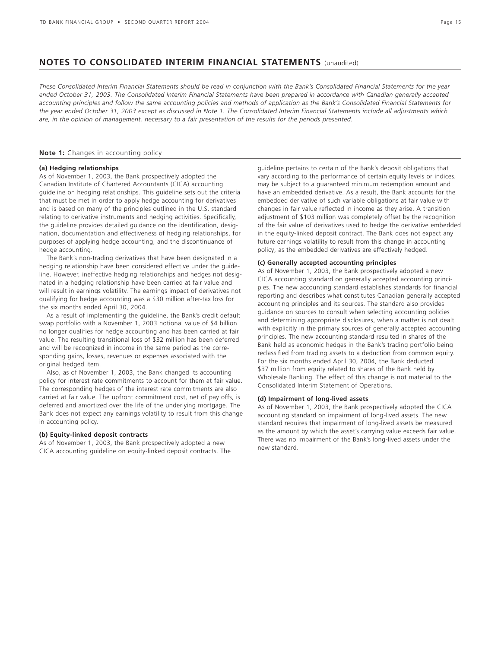# **NOTES TO CONSOLIDATED INTERIM FINANCIAL STATEMENTS** (unaudited)

*These Consolidated Interim Financial Statements should be read in conjunction with the Bank's Consolidated Financial Statements for the year ended October 31, 2003. The Consolidated Interim Financial Statements have been prepared in accordance with Canadian generally accepted accounting principles and follow the same accounting policies and methods of application as the Bank's Consolidated Financial Statements for the year ended October 31, 2003 except as discussed in Note 1. The Consolidated Interim Financial Statements include all adjustments which are, in the opinion of management, necessary to a fair presentation of the results for the periods presented.*

### **Note 1:** Changes in accounting policy

#### **(a) Hedging relationships**

As of November 1, 2003, the Bank prospectively adopted the Canadian Institute of Chartered Accountants (CICA) accounting guideline on hedging relationships. This guideline sets out the criteria that must be met in order to apply hedge accounting for derivatives and is based on many of the principles outlined in the U.S. standard relating to derivative instruments and hedging activities. Specifically, the guideline provides detailed guidance on the identification, designation, documentation and effectiveness of hedging relationships, for purposes of applying hedge accounting, and the discontinuance of hedge accounting.

The Bank's non-trading derivatives that have been designated in a hedging relationship have been considered effective under the guideline. However, ineffective hedging relationships and hedges not designated in a hedging relationship have been carried at fair value and will result in earnings volatility. The earnings impact of derivatives not qualifying for hedge accounting was a \$30 million after-tax loss for the six months ended April 30, 2004.

As a result of implementing the guideline, the Bank's credit default swap portfolio with a November 1, 2003 notional value of \$4 billion no longer qualifies for hedge accounting and has been carried at fair value. The resulting transitional loss of \$32 million has been deferred and will be recognized in income in the same period as the corresponding gains, losses, revenues or expenses associated with the original hedged item.

Also, as of November 1, 2003, the Bank changed its accounting policy for interest rate commitments to account for them at fair value. The corresponding hedges of the interest rate commitments are also carried at fair value. The upfront commitment cost, net of pay offs, is deferred and amortized over the life of the underlying mortgage. The Bank does not expect any earnings volatility to result from this change in accounting policy.

#### **(b) Equity-linked deposit contracts**

As of November 1, 2003, the Bank prospectively adopted a new CICA accounting guideline on equity-linked deposit contracts. The guideline pertains to certain of the Bank's deposit obligations that vary according to the performance of certain equity levels or indices, may be subject to a guaranteed minimum redemption amount and have an embedded derivative. As a result, the Bank accounts for the embedded derivative of such variable obligations at fair value with changes in fair value reflected in income as they arise. A transition adjustment of \$103 million was completely offset by the recognition of the fair value of derivatives used to hedge the derivative embedded in the equity-linked deposit contract. The Bank does not expect any future earnings volatility to result from this change in accounting policy, as the embedded derivatives are effectively hedged.

#### **(c) Generally accepted accounting principles**

As of November 1, 2003, the Bank prospectively adopted a new CICA accounting standard on generally accepted accounting principles. The new accounting standard establishes standards for financial reporting and describes what constitutes Canadian generally accepted accounting principles and its sources. The standard also provides guidance on sources to consult when selecting accounting policies and determining appropriate disclosures, when a matter is not dealt with explicitly in the primary sources of generally accepted accounting principles. The new accounting standard resulted in shares of the Bank held as economic hedges in the Bank's trading portfolio being reclassified from trading assets to a deduction from common equity. For the six months ended April 30, 2004, the Bank deducted \$37 million from equity related to shares of the Bank held by Wholesale Banking. The effect of this change is not material to the Consolidated Interim Statement of Operations.

#### **(d) Impairment of long-lived assets**

As of November 1, 2003, the Bank prospectively adopted the CICA accounting standard on impairment of long-lived assets. The new standard requires that impairment of long-lived assets be measured as the amount by which the asset's carrying value exceeds fair value. There was no impairment of the Bank's long-lived assets under the new standard.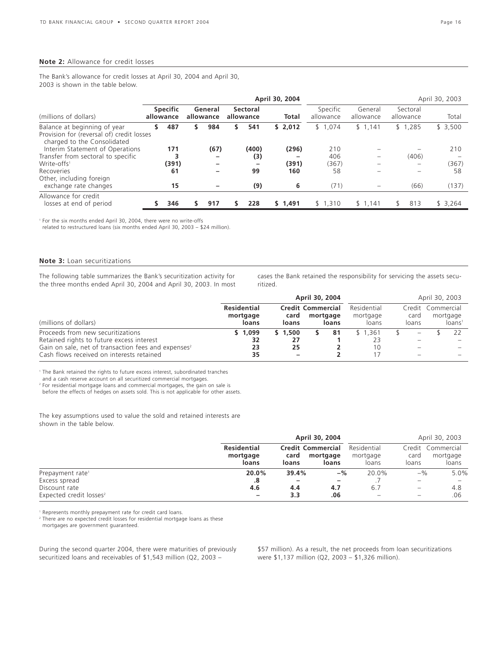#### **Note 2:** Allowance for credit losses

The Bank's allowance for credit losses at April 30, 2004 and April 30, 2003 is shown in the table below.

| April 30, 2004 |                                           |                              |      |                      |                 |                       | April 30, 2003        |                      |                       |         |  |  |
|----------------|-------------------------------------------|------------------------------|------|----------------------|-----------------|-----------------------|-----------------------|----------------------|-----------------------|---------|--|--|
|                |                                           |                              |      |                      |                 | <b>Total</b>          | Specific<br>allowance | General<br>allowance | Sectoral<br>allowance | Total   |  |  |
| S.             | 487                                       |                              | 984  | s                    | 541             | \$2,012               | \$1,074               | \$1,141              | \$1,285               | \$3,500 |  |  |
|                | 171                                       |                              | (67) |                      | (400)           | (296)                 | 210                   |                      |                       | 210     |  |  |
|                |                                           |                              | -    |                      | (3)             |                       | 406                   |                      | (406)                 |         |  |  |
|                | (391)                                     |                              |      |                      | $\qquad \qquad$ | (391)                 | (367)                 |                      |                       | (367)   |  |  |
|                | 61                                        |                              | -    |                      | 99              | 160                   | 58                    |                      |                       | 58      |  |  |
|                | 15                                        |                              |      |                      | (9)             | 6                     | (71)                  |                      | (66)                  | (137)   |  |  |
|                | 346                                       |                              | 917  | s                    | 228             | \$1,491               | \$1,310               | \$1,141              | 813<br>₿              | \$3,264 |  |  |
|                | Provision for (reversal of) credit losses | <b>Specific</b><br>allowance |      | General<br>allowance |                 | Sectoral<br>allowance |                       |                      |                       |         |  |  |

<sup>1</sup> For the six months ended April 30, 2004, there were no write-offs

related to restructured loans (six months ended April 30, 2003 – \$24 million).

#### **Note 3:** Loan securitizations

The following table summarizes the Bank's securitization activity for the three months ended April 30, 2004 and April 30, 2003. In most cases the Bank retained the responsibility for servicing the assets securitized.

|                                                                 |                                         | April 30, 2004                                                 | April 30, 2003 |    |                                  |               |                          |                                                     |  |
|-----------------------------------------------------------------|-----------------------------------------|----------------------------------------------------------------|----------------|----|----------------------------------|---------------|--------------------------|-----------------------------------------------------|--|
| (millions of dollars)                                           | <b>Residential</b><br>mortgage<br>loans | <b>Credit Commercial</b><br>mortgage<br>card<br>loans<br>loans |                |    | Residential<br>mortgage<br>loans | card<br>loans |                          | Credit Commercial<br>mortgage<br>loans <sup>1</sup> |  |
| Proceeds from new securitizations                               | \$1,099                                 | \$1.500                                                        |                | 81 | \$1.361                          |               |                          |                                                     |  |
| Retained rights to future excess interest                       | 32                                      | 27                                                             |                |    | 23                               |               |                          |                                                     |  |
| Gain on sale, net of transaction fees and expenses <sup>2</sup> | 23                                      | 25                                                             |                |    | 10                               |               | $\overline{\phantom{m}}$ |                                                     |  |
| Cash flows received on interests retained                       | 35                                      | -                                                              |                |    |                                  |               |                          |                                                     |  |

<sup>1</sup> The Bank retained the rights to future excess interest, subordinated tranches

and a cash reserve account on all securitized commercial mortgages.

<sup>2</sup> For residential mortgage loans and commercial mortgages, the gain on sale is

before the effects of hedges on assets sold. This is not applicable for other assets.

The key assumptions used to value the sold and retained interests are shown in the table below.

|                                     |                                         |                                           | April 30, 2004    |                                  | April 30, 2003                     |                   |  |
|-------------------------------------|-----------------------------------------|-------------------------------------------|-------------------|----------------------------------|------------------------------------|-------------------|--|
|                                     | <b>Residential</b><br>mortgage<br>loans | <b>Credit Commercial</b><br>card<br>loans | mortgage<br>loans | Residential<br>mortgage<br>loans | Credit Commercial<br>card<br>loans | mortgage<br>loans |  |
| Prepayment rate <sup>1</sup>        | 20.0%                                   | 39.4%                                     | $-$ %             | 20.0%                            | $-$ %                              | 5.0%              |  |
| Excess spread                       | .8                                      |                                           | -                 |                                  |                                    |                   |  |
| Discount rate                       | 4.6                                     | 4.4                                       | 4.7               | 6.7                              | $\qquad \qquad -$                  | 4.8               |  |
| Expected credit losses <sup>2</sup> | -                                       | 3.3                                       | .06               |                                  | $\hspace{0.05cm}$                  | .06               |  |

<sup>1</sup> Represents monthly prepayment rate for credit card loans.

<sup>2</sup> There are no expected credit losses for residential mortgage loans as these

mortgages are government guaranteed.

During the second quarter 2004, there were maturities of previously securitized loans and receivables of \$1,543 million (Q2, 2003 –

\$57 million). As a result, the net proceeds from loan securitizations were \$1,137 million (Q2, 2003 – \$1,326 million).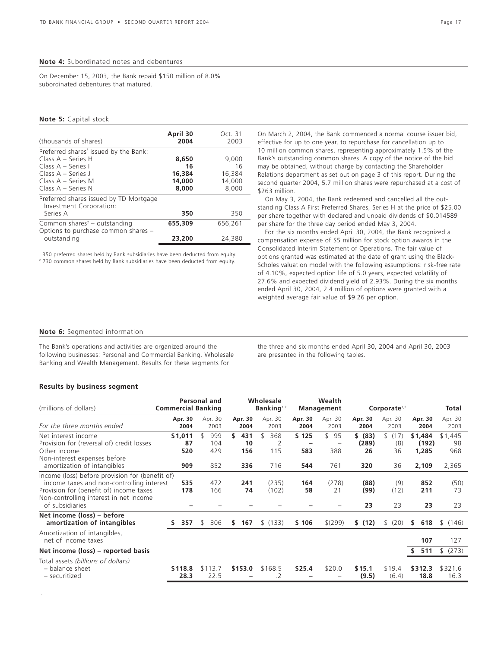#### **Note 4:** Subordinated notes and debentures

On December 15, 2003, the Bank repaid \$150 million of 8.0% subordinated debentures that matured.

#### **Note 5:** Capital stock

| (thousands of shares)                                                           | April 30<br>2004 | Oct. 31<br>2003 |
|---------------------------------------------------------------------------------|------------------|-----------------|
| Preferred shares' issued by the Bank:                                           |                  |                 |
| Class $A -$ Series H                                                            | 8,650            | 9.000           |
| Class A – Series I                                                              | 16               | 16              |
| Class $A - Series$ J                                                            | 16,384           | 16,384          |
| Class A – Series M                                                              | 14,000           | 14,000          |
| Class A - Series N                                                              | 8,000            | 8,000           |
| Preferred shares issued by TD Mortgage<br>Investment Corporation:               |                  |                 |
| Series A                                                                        | 350              | 350             |
| Common shares <sup>2</sup> – outstanding<br>Options to purchase common shares - | 655,309          | 656.261         |
| outstanding                                                                     | 23,200           | 24,380          |

1 350 preferred shares held by Bank subsidiaries have been deducted from equity.

<sup>2</sup> 730 common shares held by Bank subsidiaries have been deducted from equity.

On March 2, 2004, the Bank commenced a normal course issuer bid, effective for up to one year, to repurchase for cancellation up to 10 million common shares, representing approximately 1.5% of the Bank's outstanding common shares. A copy of the notice of the bid may be obtained, without charge by contacting the Shareholder Relations department as set out on page 3 of this report. During the second quarter 2004, 5.7 million shares were repurchased at a cost of \$263 million.

On May 3, 2004, the Bank redeemed and cancelled all the outstanding Class A First Preferred Shares, Series H at the price of \$25.00 per share together with declared and unpaid dividends of \$0.014589 per share for the three day period ended May 3, 2004.

For the six months ended April 30, 2004, the Bank recognized a compensation expense of \$5 million for stock option awards in the Consolidated Interim Statement of Operations. The fair value of options granted was estimated at the date of grant using the Black-Scholes valuation model with the following assumptions: risk-free rate of 4.10%, expected option life of 5.0 years, expected volatility of 27.6% and expected dividend yield of 2.93%. During the six months ended April 30, 2004, 2.4 million of options were granted with a weighted average fair value of \$9.26 per option.

#### **Note 6:** Segmented information

The Bank's operations and activities are organized around the following businesses: Personal and Commercial Banking, Wholesale Banking and Wealth Management. Results for these segments for

the three and six months ended April 30, 2004 and April 30, 2003 are presented in the following tables.

### **Results by business segment**

.

| (millions of dollars)                                                                                                                                                                                | <b>Commercial Banking</b>   | Personal and             |                                | Wholesale<br>Banking <sup>1,2</sup> |                                                 | Wealth<br><b>Management</b>                        |                               | Corporate <sup>1,2</sup>  |                                    | Total                         |
|------------------------------------------------------------------------------------------------------------------------------------------------------------------------------------------------------|-----------------------------|--------------------------|--------------------------------|-------------------------------------|-------------------------------------------------|----------------------------------------------------|-------------------------------|---------------------------|------------------------------------|-------------------------------|
| For the three months ended                                                                                                                                                                           | Apr. 30<br>2004             | Apr. 30<br>2003          | Apr. 30<br>2004                | Apr. 30<br>2003                     | Apr. 30<br>2004                                 | Apr. 30<br>2003                                    | Apr. 30<br>2004               | Apr. 30<br>2003           | Apr. 30<br>2004                    | Apr. 30<br>2003               |
| Net interest income<br>Provision for (reversal of) credit losses<br>Other income<br>Non-interest expenses before<br>amortization of intangibles                                                      | \$1,011<br>87<br>520<br>909 | 999<br>104<br>429<br>852 | \$.<br>431<br>10<br>156<br>336 | 368<br>2<br>115<br>716              | \$125<br>$\overline{\phantom{0}}$<br>583<br>544 | \$<br>95<br>$\overline{\phantom{a}}$<br>388<br>761 | \$ (83)<br>(289)<br>26<br>320 | \$(17)<br>(8)<br>36<br>36 | \$1,484<br>(192)<br>1,285<br>2,109 | \$1,445<br>98<br>968<br>2,365 |
| Income (loss) before provision for (benefit of)<br>income taxes and non-controlling interest<br>Provision for (benefit of) income taxes<br>Non-controlling interest in net income<br>of subsidiaries | 535<br>178                  | 472<br>166               | 241<br>74                      | (235)<br>(102)                      | 164<br>58                                       | (278)<br>21                                        | (88)<br>(99)<br>23            | (9)<br>(12)<br>23         | 852<br>211<br>23                   | (50)<br>73<br>23              |
| Net income (loss) - before<br>amortization of intangibles                                                                                                                                            | 357<br>S.                   | \$.<br>306               | 167<br>S.                      | \$(133)                             | \$106                                           | $$^{(299)}$                                        | \$ (12)                       | \$ (20)                   | 618<br>s                           | (146)<br>\$                   |
| Amortization of intangibles,<br>net of income taxes                                                                                                                                                  |                             |                          |                                |                                     |                                                 |                                                    |                               |                           | 107                                | 127                           |
| Net income (loss) – reported basis                                                                                                                                                                   |                             |                          |                                |                                     |                                                 |                                                    |                               |                           | 511<br>S.                          | (273)<br>S.                   |
| Total assets (billions of dollars)<br>- balance sheet<br>- securitized                                                                                                                               | \$118.8<br>28.3             | \$113.7<br>22.5          | \$153.0                        | \$168.5<br>.2                       | \$25.4                                          | \$20.0                                             | \$15.1<br>(9.5)               | \$19.4<br>(6.4)           | \$312.3<br>18.8                    | \$321.6<br>16.3               |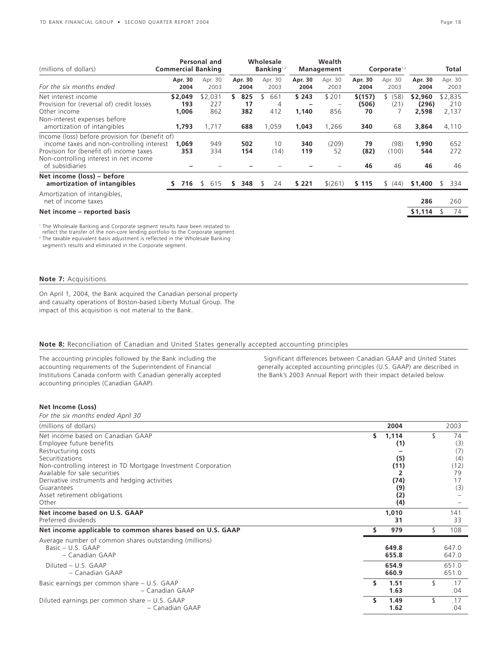| (millions of dollars)                                                                                                                                                                                | Personal and<br><b>Commercial Banking</b> |                                |    |                         | Wholesale<br>Banking $1,2$                 | Wealth<br><b>Management</b> |                       | Corporate $1,2$               |                       |                                    |   | Total                            |
|------------------------------------------------------------------------------------------------------------------------------------------------------------------------------------------------------|-------------------------------------------|--------------------------------|----|-------------------------|--------------------------------------------|-----------------------------|-----------------------|-------------------------------|-----------------------|------------------------------------|---|----------------------------------|
| For the six months ended                                                                                                                                                                             | Apr. 30<br>2004                           | Apr. 30<br>2003                |    | Apr. 30<br>2004         | Apr. 30<br>2003                            | Apr. 30<br>2004             | Apr. 30<br>2003       | Apr. 30<br>2004               | Apr. 30<br>2003       | Apr. 30<br>2004                    |   | Apr. 30<br>2003                  |
| Net interest income<br>Provision for (reversal of) credit losses<br>Other income<br>Non-interest expenses before<br>amortization of intangibles                                                      | \$2,049<br>193<br>1,006<br>1,793          | \$2,031<br>227<br>862<br>1,717 | S. | 825<br>17<br>382<br>688 | ፍ<br>661<br>$\overline{4}$<br>412<br>1,059 | \$243<br>1,140<br>1,043     | \$201<br>856<br>1,266 | \$(157)<br>(506)<br>70<br>340 | \$ (58)<br>(21)<br>68 | \$2,960<br>(296)<br>2,598<br>3,864 |   | \$2,835<br>210<br>2,137<br>4,110 |
| Income (loss) before provision for (benefit of)<br>income taxes and non-controlling interest<br>Provision for (benefit of) income taxes<br>Non-controlling interest in net income<br>of subsidiaries | 1,069<br>353                              | 949<br>334                     |    | 502<br>154              | 10<br>(14)                                 | 340<br>119                  | (209)<br>52           | 79<br>(82)<br>46              | (98)<br>(100)<br>46   | 1,990<br>544<br>46                 |   | 652<br>272<br>46                 |
| Net income (loss) – before<br>amortization of intangibles                                                                                                                                            | 716<br>ς                                  | 615<br>\$.                     | S. | 348                     | 24<br>S                                    | \$221                       | \$(261)               | \$115                         | \$ (44)               | \$1,400                            | S | 334                              |
| Amortization of intangibles,<br>net of income taxes<br>Net income – reported basis                                                                                                                   |                                           |                                |    |                         |                                            |                             |                       |                               |                       | 286<br>\$1,114                     | S | 260<br>74                        |
| <sup>1</sup> The Wholesale Banking and Corporate segment results have been restated to<br>reflect the transfer of the non-core lending portfolio to the Corporate segment.                           |                                           |                                |    |                         |                                            |                             |                       |                               |                       |                                    |   |                                  |

<sup>2</sup> The taxable equivalent basis adjustment is reflected in the Wholesale Banking

segment's results and eliminated in the Corporate segment.

# **Note 7:** Acquisitions

On April 1, 2004, the Bank acquired the Canadian personal property and casualty operations of Boston-based Liberty Mutual Group. The impact of this acquisition is not material to the Bank.

# **Note 8:** Reconciliation of Canadian and United States generally accepted accounting principles

The accounting principles followed by the Bank including the accounting requirements of the Superintendent of Financial Institutions Canada conform with Canadian generally accepted accounting principles (Canadian GAAP).

Significant differences between Canadian GAAP and United States generally accepted accounting principles (U.S. GAAP) are described in the Bank's 2003 Annual Report with their impact detailed below.

# **Net Income (Loss)**

*For the six months ended April 30*

| (millions of dollars)                                                                                                                                                                                   |    | 2004                              | 2003                    |
|---------------------------------------------------------------------------------------------------------------------------------------------------------------------------------------------------------|----|-----------------------------------|-------------------------|
| Net income based on Canadian GAAP<br>Employee future benefits<br>Restructuring costs<br>Securitizations                                                                                                 | s  | 1,114<br>(1)<br>(5)               | 74<br>(3)<br>(7)<br>(4) |
| Non-controlling interest in TD Mortgage Investment Corporation<br>Available for sale securities<br>Derivative instruments and hedging activities<br>Guarantees<br>Asset retirement obligations<br>Other |    | (11)<br>(74)<br>(9)<br>(2)<br>(4) | (12)<br>79<br>17<br>(3) |
| Net income based on U.S. GAAP<br>Preferred dividends                                                                                                                                                    |    | 1,010<br>31                       | 141<br>33               |
| Net income applicable to common shares based on U.S. GAAP                                                                                                                                               |    | 979                               | 108                     |
| Average number of common shares outstanding (millions)<br>Basic - U.S. GAAP<br>- Canadian GAAP                                                                                                          |    | 649.8<br>655.8                    | 647.0<br>647.0          |
| Diluted - U.S. GAAP<br>- Canadian GAAP                                                                                                                                                                  |    | 654.9<br>660.9                    | 651.0<br>651.0          |
| Basic earnings per common share - U.S. GAAP<br>– Canadian GAAP                                                                                                                                          | \$ | 1.51<br>1.63                      | \$<br>.17<br>.04        |
| Diluted earnings per common share - U.S. GAAP<br>- Canadian GAAP                                                                                                                                        | \$ | 1.49<br>1.62                      | \$<br>.17<br>.04        |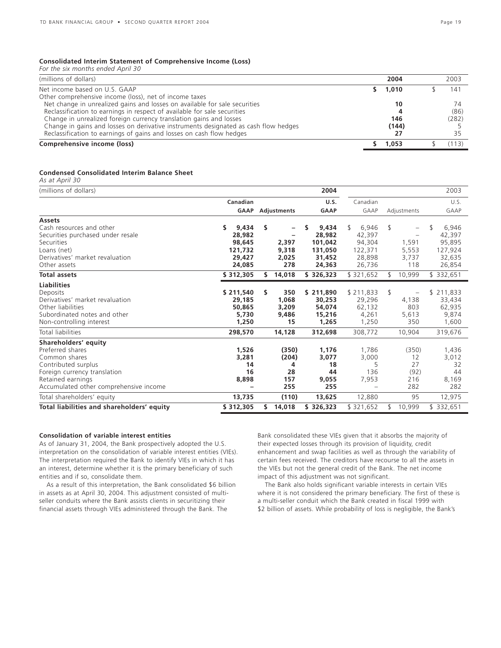#### **Consolidated Interim Statement of Comprehensive Income (Loss)** *For the six months ended April 30*

| you the six months chucu Apin bo                                                    |         |       |
|-------------------------------------------------------------------------------------|---------|-------|
| (millions of dollars)                                                               | 2004    | 2003  |
| Net income based on U.S. GAAP                                                       | \$1,010 | 141   |
| Other comprehensive income (loss), net of income taxes                              |         |       |
| Net change in unrealized gains and losses on available for sale securities          | 10      | 74    |
| Reclassification to earnings in respect of available for sale securities            |         | (86)  |
| Change in unrealized foreign currency translation gains and losses                  | 146     | (282) |
| Change in gains and losses on derivative instruments designated as cash flow hedges | (144)   |       |
| Reclassification to earnings of gains and losses on cash flow hedges                | 27      | 35    |
| Comprehensive income (loss)                                                         | 1,053   | (113) |

#### **Condensed Consolidated Interim Balance Sheet**

*As at April 30*

| (millions of dollars)                      |             |    |             | 2004        |            |               | 2003        |
|--------------------------------------------|-------------|----|-------------|-------------|------------|---------------|-------------|
|                                            | Canadian    |    |             | U.S.        | Canadian   |               | U.S.        |
|                                            | <b>GAAP</b> |    | Adjustments | <b>GAAP</b> | GAAP       | Adjustments   | GAAP        |
| <b>Assets</b>                              |             |    |             |             |            |               |             |
| Cash resources and other                   | 9,434<br>s  | s  |             | 9,434       | 6,946<br>S | \$<br>-       | 6,946<br>\$ |
| Securities purchased under resale          | 28,982      |    |             | 28,982      | 42,397     |               | 42,397      |
| Securities                                 | 98,645      |    | 2,397       | 101.042     | 94,304     | 1,591         | 95,895      |
| Loans (net)                                | 121,732     |    | 9,318       | 131,050     | 122,371    | 5,553         | 127,924     |
| Derivatives' market revaluation            | 29,427      |    | 2,025       | 31,452      | 28,898     | 3,737         | 32,635      |
| Other assets                               | 24,085      |    | 278         | 24,363      | 26,736     | 118           | 26,854      |
| <b>Total assets</b>                        | \$312,305   | S. | 14,018      | \$326,323   | \$321,652  | 10,999<br>\$  | \$ 332,651  |
| <b>Liabilities</b>                         |             |    |             |             |            |               |             |
| Deposits                                   | \$211,540   | s. | 350         | \$211,890   | \$211,833  | \$<br>-       | \$211,833   |
| Derivatives' market revaluation            | 29,185      |    | 1,068       | 30,253      | 29,296     | 4,138         | 33,434      |
| Other liabilities                          | 50,865      |    | 3,209       | 54.074      | 62,132     | 803           | 62,935      |
| Subordinated notes and other               | 5,730       |    | 9,486       | 15,216      | 4,261      | 5,613         | 9,874       |
| Non-controlling interest                   | 1,250       |    | 15          | 1,265       | 1,250      | 350           | 1,600       |
| Total liabilities                          | 298,570     |    | 14,128      | 312,698     | 308,772    | 10,904        | 319,676     |
| Shareholders' equity                       |             |    |             |             |            |               |             |
| Preferred shares                           | 1,526       |    | (350)       | 1,176       | 1,786      | (350)         | 1,436       |
| Common shares                              | 3,281       |    | (204)       | 3,077       | 3,000      | 12            | 3,012       |
| Contributed surplus                        | 14          |    | 4           | 18          | 5          | 27            | 32          |
| Foreign currency translation               | 16          |    | 28          | 44          | 136        | (92)          | 44          |
| Retained earnings                          | 8,898       |    | 157         | 9,055       | 7,953      | 216           | 8,169       |
| Accumulated other comprehensive income     |             |    | 255         | 255         |            | 282           | 282         |
| Total shareholders' equity                 | 13,735      |    | (110)       | 13,625      | 12,880     | 95            | 12,975      |
| Total liabilities and shareholders' equity | \$312,305   | s  | 14,018      | \$326,323   | \$321,652  | 10,999<br>\$. | \$ 332,651  |

#### **Consolidation of variable interest entities**

As of January 31, 2004, the Bank prospectively adopted the U.S. interpretation on the consolidation of variable interest entities (VIEs). The interpretation required the Bank to identify VIEs in which it has an interest, determine whether it is the primary beneficiary of such entities and if so, consolidate them.

As a result of this interpretation, the Bank consolidated \$6 billion in assets as at April 30, 2004. This adjustment consisted of multiseller conduits where the Bank assists clients in securitizing their financial assets through VIEs administered through the Bank. The

Bank consolidated these VIEs given that it absorbs the majority of their expected losses through its provision of liquidity, credit enhancement and swap facilities as well as through the variability of certain fees received. The creditors have recourse to all the assets in the VIEs but not the general credit of the Bank. The net income impact of this adjustment was not significant.

The Bank also holds significant variable interests in certain VIEs where it is not considered the primary beneficiary. The first of these is a multi-seller conduit which the Bank created in fiscal 1999 with \$2 billion of assets. While probability of loss is negligible, the Bank's